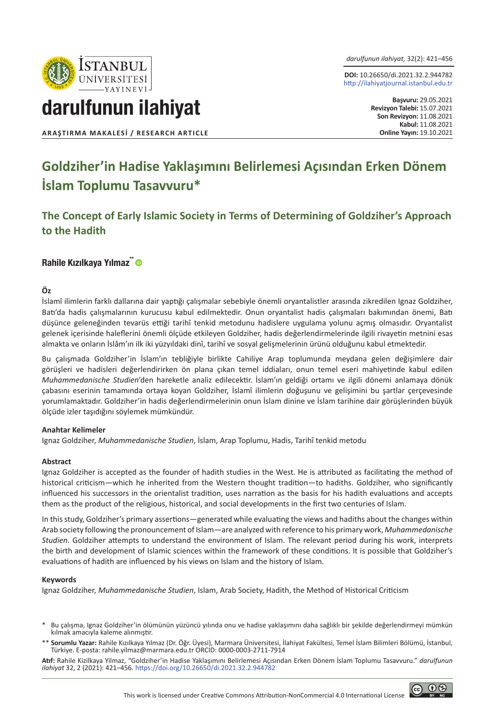

*darulfunun ilahiyat,* 32(2): 421–456

**DOI:** 10.26650/di.2021.32.2.944782 http://ilahiyatjournal.istanbul.edu.tr

# darulfunun ilahiyat

**ARAŞTIRMA MAKALESİ / RESEARCH ARTICLE** 

**Başvuru:** 29.05.2021 **Revizyon Talebi:** 15.07.2021 **Son Revizyon:** 11.08.2021 **Kabul:** 11.08.2021<br>**Online Yayın:** 19.10.2021

## **Goldziher'in Hadise Yaklaşımını Belirlemesi Açısından Erken Dönem İslam Toplumu Tasavvuru\***

**The Concept of Early Islamic Society in Terms of Determining of Goldziher's Approach to the Hadith**

#### Rahile Kızılkaya Yılmaz<sup>\*\*</sup> ®

#### **Öz**

İslamî ilimlerin farklı dallarına dair yaptığı çalışmalar sebebiyle önemli oryantalistler arasında zikredilen Ignaz Goldziher, Batı'da hadis çalışmalarının kurucusu kabul edilmektedir. Onun oryantalist hadis çalışmaları bakımından önemi, Batı düşünce geleneğinden tevarüs ettiği tarihî tenkid metodunu hadislere uygulama yolunu açmış olmasıdır. Oryantalist gelenek içerisinde haleflerini önemli ölçüde etkileyen Goldziher, hadis değerlendirmelerinde ilgili rivayetin metnini esas almakta ve onların İslâm'ın ilk iki yüzyıldaki dinî, tarihî ve sosyal gelişmelerinin ürünü olduğunu kabul etmektedir.

Bu çalışmada Goldziher'in İslam'ın tebliğiyle birlikte Cahiliye Arap toplumunda meydana gelen değişimlere dair görüşleri ve hadisleri değerlendirirken ön plana çıkan temel iddiaları, onun temel eseri mahiyetinde kabul edilen *Muhammedanische Studien*'den hareketle analiz edilecektir. İslam'ın geldiği ortamı ve ilgili dönemi anlamaya dönük çabasını eserinin tamamında ortaya koyan Goldziher, İslamî ilimlerin doğuşunu ve gelişimini bu şartlar çerçevesinde yorumlamaktadır. Goldziher'in hadis değerlendirmelerinin onun İslam dinine ve İslam tarihine dair görüşlerinden büyük ölçüde izler taşıdığını söylemek mümkündür.

#### **Anahtar Kelimeler**

Ignaz Goldziher, *Muhammedanische Studien*, İslam, Arap Toplumu, Hadis, Tarihî tenkid metodu

#### **Abstract**

Ignaz Goldziher is accepted as the founder of hadith studies in the West. He is attributed as facilitating the method of historical criticism—which he inherited from the Western thought tradition—to hadiths. Goldziher, who significantly influenced his successors in the orientalist tradition, uses narration as the basis for his hadith evaluations and accepts them as the product of the religious, historical, and social developments in the first two centuries of Islam.

In this study, Goldziher's primary assertions—generated while evaluating the views and hadiths about the changes within Arab society following the pronouncement of Islam—are analyzed with reference to his primary work, *Muhammedanische Studien*. Goldziher attempts to understand the environment of Islam. The relevant period during his work, interprets the birth and development of Islamic sciences within the framework of these conditions. It is possible that Goldziher's evaluations of hadith are influenced by his views on Islam and the history of Islam.

#### **Keywords**

Ignaz Goldziher, *Muhammedanische Studien*, Islam, Arab Society, Hadith, the Method of Historical Criticism

- Bu çalışma, Ignaz Goldziher'in ölümünün yüzüncü yılında onu ve hadise yaklaşımını daha sağlıklı bir şekilde değerlendirmeyi mümkün kılmak amacıyla kaleme alınmıştır.
- \*\* **Sorumlu Yazar:** Rahile Kızılkaya Yılmaz (Dr. Öğr. Üyesi), Marmara Üniversitesi, İlahiyat Fakültesi, Temel İslam Bilimleri Bölümü, İstanbul, Türkiye. E-posta: rahile.yilmaz@marmara.edu.tr ORCID: 0000-0003-2711-7914

**Atıf:** Rahile Kizilkaya Yilmaz, "Goldziher'in Hadise Yaklaşımını Belirlemesi Açısından Erken Dönem İslam Toplumu Tasavvuru." *darulfunun ilahiyat* 32, 2 (2021): 421–456. https://doi.org/10.26650/di.2021.32.2.944782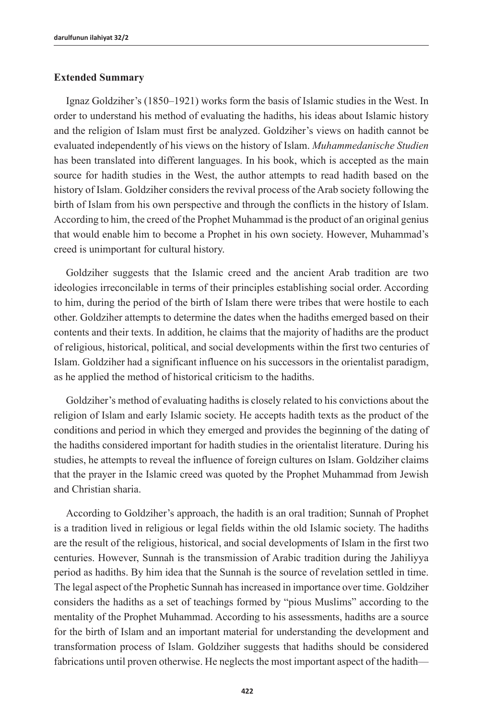#### **Extended Summary**

Ignaz Goldziher's (1850–1921) works form the basis of Islamic studies in the West. In order to understand his method of evaluating the hadiths, his ideas about Islamic history and the religion of Islam must first be analyzed. Goldziher's views on hadith cannot be evaluated independently of his views on the history of Islam. *Muhammedanische Studien* has been translated into different languages. In his book, which is accepted as the main source for hadith studies in the West, the author attempts to read hadith based on the history of Islam. Goldziher considers the revival process of the Arab society following the birth of Islam from his own perspective and through the conflicts in the history of Islam. According to him, the creed of the Prophet Muhammad is the product of an original genius that would enable him to become a Prophet in his own society. However, Muhammad's creed is unimportant for cultural history.

Goldziher suggests that the Islamic creed and the ancient Arab tradition are two ideologies irreconcilable in terms of their principles establishing social order. According to him, during the period of the birth of Islam there were tribes that were hostile to each other. Goldziher attempts to determine the dates when the hadiths emerged based on their contents and their texts. In addition, he claims that the majority of hadiths are the product of religious, historical, political, and social developments within the first two centuries of Islam. Goldziher had a significant influence on his successors in the orientalist paradigm, as he applied the method of historical criticism to the hadiths.

Goldziher's method of evaluating hadiths is closely related to his convictions about the religion of Islam and early Islamic society. He accepts hadith texts as the product of the conditions and period in which they emerged and provides the beginning of the dating of the hadiths considered important for hadith studies in the orientalist literature. During his studies, he attempts to reveal the influence of foreign cultures on Islam. Goldziher claims that the prayer in the Islamic creed was quoted by the Prophet Muhammad from Jewish and Christian sharia.

According to Goldziher's approach, the hadith is an oral tradition; Sunnah of Prophet is a tradition lived in religious or legal fields within the old Islamic society. The hadiths are the result of the religious, historical, and social developments of Islam in the first two centuries. However, Sunnah is the transmission of Arabic tradition during the Jahiliyya period as hadiths. By him idea that the Sunnah is the source of revelation settled in time. The legal aspect of the Prophetic Sunnah has increased in importance over time. Goldziher considers the hadiths as a set of teachings formed by "pious Muslims" according to the mentality of the Prophet Muhammad. According to his assessments, hadiths are a source for the birth of Islam and an important material for understanding the development and transformation process of Islam. Goldziher suggests that hadiths should be considered fabrications until proven otherwise. He neglects the most important aspect of the hadith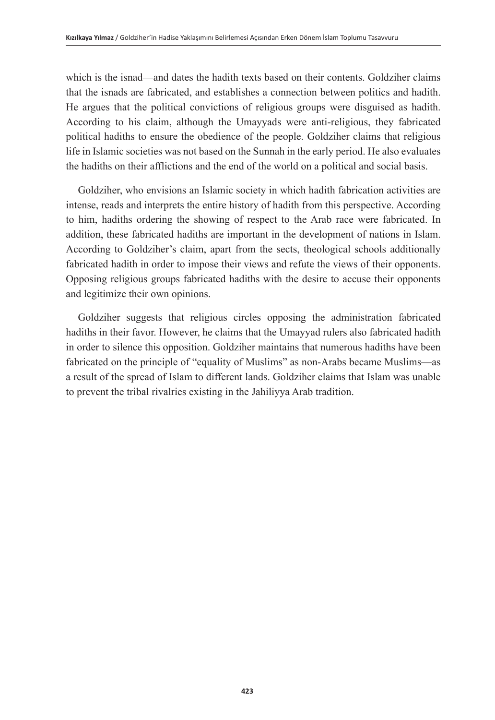which is the isnad—and dates the hadith texts based on their contents. Goldziher claims that the isnads are fabricated, and establishes a connection between politics and hadith. He argues that the political convictions of religious groups were disguised as hadith. According to his claim, although the Umayyads were anti-religious, they fabricated political hadiths to ensure the obedience of the people. Goldziher claims that religious life in Islamic societies was not based on the Sunnah in the early period. He also evaluates the hadiths on their afflictions and the end of the world on a political and social basis.

Goldziher, who envisions an Islamic society in which hadith fabrication activities are intense, reads and interprets the entire history of hadith from this perspective. According to him, hadiths ordering the showing of respect to the Arab race were fabricated. In addition, these fabricated hadiths are important in the development of nations in Islam. According to Goldziher's claim, apart from the sects, theological schools additionally fabricated hadith in order to impose their views and refute the views of their opponents. Opposing religious groups fabricated hadiths with the desire to accuse their opponents and legitimize their own opinions.

Goldziher suggests that religious circles opposing the administration fabricated hadiths in their favor. However, he claims that the Umayyad rulers also fabricated hadith in order to silence this opposition. Goldziher maintains that numerous hadiths have been fabricated on the principle of "equality of Muslims" as non-Arabs became Muslims—as a result of the spread of Islam to different lands. Goldziher claims that Islam was unable to prevent the tribal rivalries existing in the Jahiliyya Arab tradition.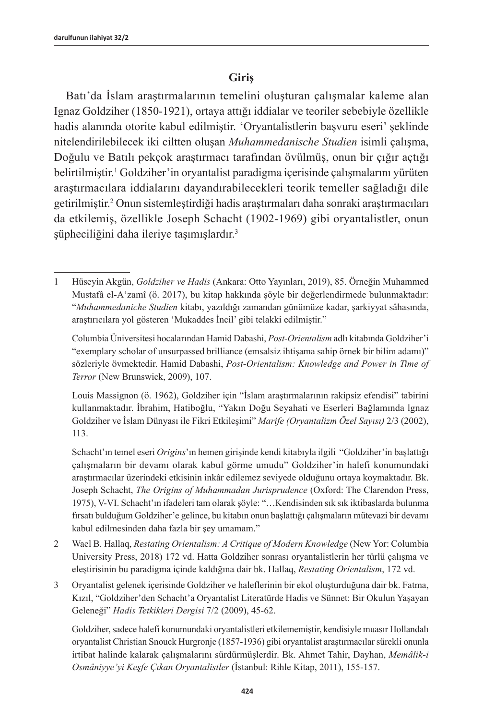#### **Giriş**

Batı'da İslam araştırmalarının temelini oluşturan çalışmalar kaleme alan Ignaz Goldziher (1850-1921), ortaya attığı iddialar ve teoriler sebebiyle özellikle hadis alanında otorite kabul edilmiştir. 'Oryantalistlerin başvuru eseri' şeklinde nitelendirilebilecek iki ciltten oluşan *Muhammedanische Studien* isimli çalışma, Doğulu ve Batılı pekçok araştırmacı tarafından övülmüş, onun bir çığır açtığı belirtilmiştir.<sup>1</sup> Goldziher'in oryantalist paradigma içerisinde çalışmalarını yürüten araştırmacılara iddialarını dayandırabilecekleri teorik temeller sağladığı dile getirilmiştir.<sup>2</sup> Onun sistemleştirdiği hadis araştırmaları daha sonraki araştırmacıları da etkilemiş, özellikle Joseph Schacht (1902-1969) gibi oryantalistler, onun şüpheciliğini daha ileriye taşımışlardır.<sup>3</sup>

Columbia Üniversitesi hocalarından Hamid Dabashi, *Post-Orientalism* adlı kitabında Goldziher'i "exemplary scholar of unsurpassed brilliance (emsalsiz ihtişama sahip örnek bir bilim adamı)" sözleriyle övmektedir. Hamid Dabashi, *Post-Orientalism: Knowledge and Power in Time of Terror* (New Brunswick, 2009), 107.

Louis Massignon (ö. 1962), Goldziher için "İslam araştırmalarının rakipsiz efendisi" tabirini kullanmaktadır. İbrahim, Hatiboğlu, "Yakın Doğu Seyahati ve Eserleri Bağlamında lgnaz Goldziher ve İslam Dünyası ile Fikri Etkileşimi" *Marife (Oryantalizm Özel Sayısı)* 2/3 (2002), 113.

Schacht'ın temel eseri *Origins*'ın hemen girişinde kendi kitabıyla ilgili "Goldziher'in başlattığı çalışmaların bir devamı olarak kabul görme umudu" Goldziher'in halefi konumundaki araştırmacılar üzerindeki etkisinin inkâr edilemez seviyede olduğunu ortaya koymaktadır. Bk. Joseph Schacht, *The Origins of Muhammadan Jurisprudence* (Oxford: The Clarendon Press, 1975), V-VI. Schacht'ın ifadeleri tam olarak şöyle: "…Kendisinden sık sık iktibaslarda bulunma fırsatı bulduğum Goldziher'e gelince, bu kitabın onun başlattığı çalışmaların mütevazi bir devamı kabul edilmesinden daha fazla bir şey umamam."

- 2 Wael B. Hallaq, *Restating Orientalism: A Critique of Modern Knowledge* (New Yor: Columbia University Press, 2018) 172 vd. Hatta Goldziher sonrası oryantalistlerin her türlü çalışma ve eleştirisinin bu paradigma içinde kaldığına dair bk. Hallaq, *Restating Orientalism*, 172 vd.
- 3 Oryantalist gelenek içerisinde Goldziher ve haleflerinin bir ekol oluşturduğuna dair bk. Fatma, Kızıl, "Goldziher'den Schacht'a Oryantalist Literatürde Hadis ve Sünnet: Bir Okulun Yaşayan Geleneği" *Hadis Tetkikleri Dergisi* 7/2 (2009), 45-62.

Goldziher, sadece halefi konumundaki oryantalistleri etkilememiştir, kendisiyle muasır Hollandalı oryantalist Christian Snouck Hurgronje (1857-1936) gibi oryantalist araştırmacılar sürekli onunla irtibat halinde kalarak çalışmalarını sürdürmüşlerdir. Bk. Ahmet Tahir, Dayhan, *Memâlik-i Osmâniyye'yi Keşfe Çıkan Oryantalistler* (İstanbul: Rihle Kitap, 2011), 155-157.

<sup>1</sup> Hüseyin Akgün, *Goldziher ve Hadis* (Ankara: Otto Yayınları, 2019), 85. Örneğin Muhammed Mustafâ el-A'zamî (ö. 2017), bu kitap hakkında şöyle bir değerlendirmede bulunmaktadır: "*Muhammedaniche Studien* kitabı, yazıldığı zamandan günümüze kadar, şarkiyyat sâhasında, araştırıcılara yol gösteren 'Mukaddes İncil' gibi telakki edilmiştir."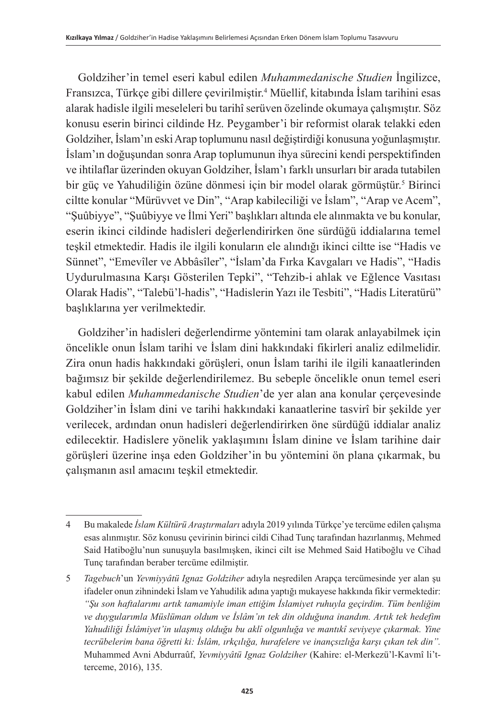Goldziher'in temel eseri kabul edilen *Muhammedanische Studien* İngilizce, Fransızca, Türkçe gibi dillere çevirilmiştir.4 Müellif, kitabında İslam tarihini esas alarak hadisle ilgili meseleleri bu tarihî serüven özelinde okumaya çalışmıştır. Söz konusu eserin birinci cildinde Hz. Peygamber'i bir reformist olarak telakki eden Goldziher, İslam'ın eski Arap toplumunu nasıl değiştirdiği konusuna yoğunlaşmıştır. İslam'ın doğuşundan sonra Arap toplumunun ihya sürecini kendi perspektifinden ve ihtilaflar üzerinden okuyan Goldziher, İslam'ı farklı unsurları bir arada tutabilen bir güç ve Yahudiliğin özüne dönmesi için bir model olarak görmüştür.<sup>5</sup> Birinci ciltte konular "Mürüvvet ve Din", "Arap kabileciliği ve İslam", "Arap ve Acem", "Şuûbiyye", "Şuûbiyye ve İlmi Yeri" başlıkları altında ele alınmakta ve bu konular, eserin ikinci cildinde hadisleri değerlendirirken öne sürdüğü iddialarına temel teşkil etmektedir. Hadis ile ilgili konuların ele alındığı ikinci ciltte ise "Hadis ve Sünnet", "Emevîler ve Abbâsîler", "İslam'da Fırka Kavgaları ve Hadis", "Hadis Uydurulmasına Karşı Gösterilen Tepki", "Tehzib-i ahlak ve Eğlence Vasıtası Olarak Hadis", "Talebü'l-hadis", "Hadislerin Yazı ile Tesbiti", "Hadis Literatürü" başlıklarına yer verilmektedir.

Goldziher'in hadisleri değerlendirme yöntemini tam olarak anlayabilmek için öncelikle onun İslam tarihi ve İslam dini hakkındaki fikirleri analiz edilmelidir. Zira onun hadis hakkındaki görüşleri, onun İslam tarihi ile ilgili kanaatlerinden bağımsız bir şekilde değerlendirilemez. Bu sebeple öncelikle onun temel eseri kabul edilen *Muhammedanische Studien*'de yer alan ana konular çerçevesinde Goldziher'in İslam dini ve tarihi hakkındaki kanaatlerine tasvirî bir şekilde yer verilecek, ardından onun hadisleri değerlendirirken öne sürdüğü iddialar analiz edilecektir. Hadislere yönelik yaklaşımını İslam dinine ve İslam tarihine dair görüşleri üzerine inşa eden Goldziher'in bu yöntemini ön plana çıkarmak, bu çalışmanın asıl amacını teşkil etmektedir.

<sup>4</sup> Bu makalede *İslam Kültürü Araştırmaları* adıyla 2019 yılında Türkçe'ye tercüme edilen çalışma esas alınmıştır. Söz konusu çevirinin birinci cildi Cihad Tunç tarafından hazırlanmış, Mehmed Said Hatiboğlu'nun sunuşuyla basılmışken, ikinci cilt ise Mehmed Said Hatiboğlu ve Cihad Tunç tarafından beraber tercüme edilmiştir.

<sup>5</sup> *Tagebuch*'un *Yevmiyyâtü Ignaz Goldziher* adıyla neşredilen Arapça tercümesinde yer alan şu ifadeler onun zihnindeki İslam ve Yahudilik adına yaptığı mukayese hakkında fikir vermektedir: *"Şu son haftalarımı artık tamamiyle iman ettiğim İslamiyet ruhuyla geçirdim. Tüm benliğim ve duygularımla Müslüman oldum ve İslâm'ın tek din olduğuna inandım. Artık tek hedefim Yahudiliği İslâmiyet'in ulaşmış olduğu bu aklî olgunluğa ve mantıkî seviyeye çıkarmak. Yine tecrübelerim bana öğretti ki: İslâm, ırkçılığa, hurafelere ve inançsızlığa karşı çıkan tek din".*  Muhammed Avni Abdurraûf, *Yevmiyyâtü Ignaz Goldziher* (Kahire: el-Merkezü'l-Kavmî li'tterceme, 2016), 135.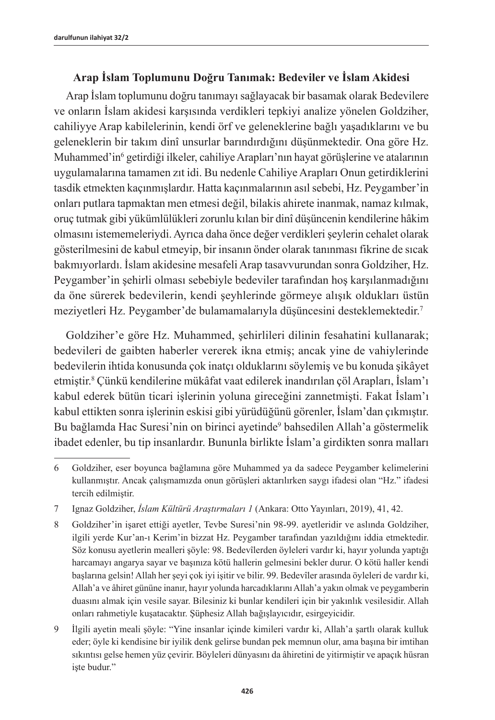## **Arap İslam Toplumunu Doğru Tanımak: Bedeviler ve İslam Akidesi**

Arap İslam toplumunu doğru tanımayı sağlayacak bir basamak olarak Bedevilere ve onların İslam akidesi karşısında verdikleri tepkiyi analize yönelen Goldziher, cahiliyye Arap kabilelerinin, kendi örf ve geleneklerine bağlı yaşadıklarını ve bu geleneklerin bir takım dinî unsurlar barındırdığını düşünmektedir. Ona göre Hz. Muhammed'in<sup>6</sup> getirdiği ilkeler, cahiliye Arapları'nın hayat görüşlerine ve atalarının uygulamalarına tamamen zıt idi. Bu nedenle Cahiliye Arapları Onun getirdiklerini tasdik etmekten kaçınmışlardır. Hatta kaçınmalarının asıl sebebi, Hz. Peygamber'in onları putlara tapmaktan men etmesi değil, bilakis ahirete inanmak, namaz kılmak, oruç tutmak gibi yükümlülükleri zorunlu kılan bir dinî düşüncenin kendilerine hâkim olmasını istememeleriydi. Ayrıca daha önce değer verdikleri şeylerin cehalet olarak gösterilmesini de kabul etmeyip, bir insanın önder olarak tanınması fikrine de sıcak bakmıyorlardı. İslam akidesine mesafeli Arap tasavvurundan sonra Goldziher, Hz. Peygamber'in şehirli olması sebebiyle bedeviler tarafından hoş karşılanmadığını da öne sürerek bedevilerin, kendi şeyhlerinde görmeye alışık oldukları üstün meziyetleri Hz. Peygamber'de bulamamalarıyla düşüncesini desteklemektedir.7

Goldziher'e göre Hz. Muhammed, şehirlileri dilinin fesahatini kullanarak; bedevileri de gaibten haberler vererek ikna etmiş; ancak yine de vahiylerinde bedevilerin ihtida konusunda çok inatçı olduklarını söylemiş ve bu konuda şikâyet etmiştir.<sup>8</sup> Çünkü kendilerine mükâfat vaat edilerek inandırılan çöl Arapları, İslam'ı kabul ederek bütün ticari işlerinin yoluna gireceğini zannetmişti. Fakat İslam'ı kabul ettikten sonra işlerinin eskisi gibi yürüdüğünü görenler, İslam'dan çıkmıştır. Bu bağlamda Hac Suresi'nin on birinci ayetinde<sup>9</sup> bahsedilen Allah'a göstermelik ibadet edenler, bu tip insanlardır. Bununla birlikte İslam'a girdikten sonra malları

<sup>6</sup> Goldziher, eser boyunca bağlamına göre Muhammed ya da sadece Peygamber kelimelerini kullanmıştır. Ancak çalışmamızda onun görüşleri aktarılırken saygı ifadesi olan "Hz." ifadesi tercih edilmiştir.

<sup>7</sup> Ignaz Goldziher, *İslam Kültürü Araştırmaları 1* (Ankara: Otto Yayınları, 2019), 41, 42.

<sup>8</sup> Goldziher'in işaret ettiği ayetler, Tevbe Suresi'nin 98-99. ayetleridir ve aslında Goldziher, ilgili yerde Kur'an-ı Kerim'in bizzat Hz. Peygamber tarafından yazıldığını iddia etmektedir. Söz konusu ayetlerin mealleri şöyle: 98. Bedevîlerden öyleleri vardır ki, hayır yolunda yaptığı harcamayı angarya sayar ve başınıza kötü hallerin gelmesini bekler durur. O kötü haller kendi başlarına gelsin! Allah her şeyi çok iyi işitir ve bilir. 99. Bedevîler arasında öyleleri de vardır ki, Allah'a ve âhiret gününe inanır, hayır yolunda harcadıklarını Allah'a yakın olmak ve peygamberin duasını almak için vesile sayar. Bilesiniz ki bunlar kendileri için bir yakınlık vesilesidir. Allah onları rahmetiyle kuşatacaktır. Şüphesiz Allah bağışlayıcıdır, esirgeyicidir.

<sup>9</sup> İlgili ayetin meali şöyle: "Yine insanlar içinde kimileri vardır ki, Allah'a şartlı olarak kulluk eder; öyle ki kendisine bir iyilik denk gelirse bundan pek memnun olur, ama başına bir imtihan sıkıntısı gelse hemen yüz çevirir. Böyleleri dünyasını da âhiretini de yitirmiştir ve apaçık hüsran işte budur."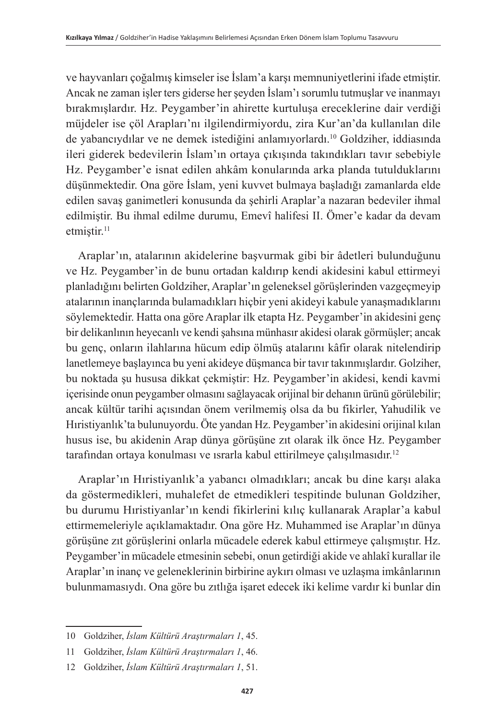ve hayvanları çoğalmış kimseler ise İslam'a karşı memnuniyetlerini ifade etmiştir. Ancak ne zaman işler ters giderse her şeyden İslam'ı sorumlu tutmuşlar ve inanmayı bırakmışlardır. Hz. Peygamber'in ahirette kurtuluşa ereceklerine dair verdiği müjdeler ise çöl Arapları'nı ilgilendirmiyordu, zira Kur'an'da kullanılan dile de yabancıydılar ve ne demek istediğini anlamıyorlardı.<sup>10</sup> Goldziher, iddiasında ileri giderek bedevilerin İslam'ın ortaya çıkışında takındıkları tavır sebebiyle Hz. Peygamber'e isnat edilen ahkâm konularında arka planda tutulduklarını düşünmektedir. Ona göre İslam, yeni kuvvet bulmaya başladığı zamanlarda elde edilen savaş ganimetleri konusunda da şehirli Araplar'a nazaran bedeviler ihmal edilmiştir. Bu ihmal edilme durumu, Emevî halifesi II. Ömer'e kadar da devam etmiştir.<sup>11</sup>

Araplar'ın, atalarının akidelerine başvurmak gibi bir âdetleri bulunduğunu ve Hz. Peygamber'in de bunu ortadan kaldırıp kendi akidesini kabul ettirmeyi planladığını belirten Goldziher, Araplar'ın geleneksel görüşlerinden vazgeçmeyip atalarının inançlarında bulamadıkları hiçbir yeni akideyi kabule yanaşmadıklarını söylemektedir. Hatta ona göre Araplar ilk etapta Hz. Peygamber'in akidesini genç bir delikanlının heyecanlı ve kendi şahsına münhasır akidesi olarak görmüşler; ancak bu genç, onların ilahlarına hücum edip ölmüş atalarını kâfir olarak nitelendirip lanetlemeye başlayınca bu yeni akideye düşmanca bir tavır takınmışlardır. Golziher, bu noktada şu hususa dikkat çekmiştir: Hz. Peygamber'in akidesi, kendi kavmi içerisinde onun peygamber olmasını sağlayacak orijinal bir dehanın ürünü görülebilir; ancak kültür tarihi açısından önem verilmemiş olsa da bu fikirler, Yahudilik ve Hıristiyanlık'ta bulunuyordu. Öte yandan Hz. Peygamber'in akidesini orijinal kılan husus ise, bu akidenin Arap dünya görüşüne zıt olarak ilk önce Hz. Peygamber tarafından ortaya konulması ve ısrarla kabul ettirilmeye çalışılmasıdır. 12

Araplar'ın Hıristiyanlık'a yabancı olmadıkları; ancak bu dine karşı alaka da göstermedikleri, muhalefet de etmedikleri tespitinde bulunan Goldziher, bu durumu Hıristiyanlar'ın kendi fikirlerini kılıç kullanarak Araplar'a kabul ettirmemeleriyle açıklamaktadır. Ona göre Hz. Muhammed ise Araplar'ın dünya görüşüne zıt görüşlerini onlarla mücadele ederek kabul ettirmeye çalışmıştır. Hz. Peygamber'in mücadele etmesinin sebebi, onun getirdiği akide ve ahlakî kurallar ile Araplar'ın inanç ve geleneklerinin birbirine aykırı olması ve uzlaşma imkânlarının bulunmamasıydı. Ona göre bu zıtlığa işaret edecek iki kelime vardır ki bunlar din

<sup>10</sup> Goldziher, *İslam Kültürü Araştırmaları 1*, 45.

<sup>11</sup> Goldziher, *İslam Kültürü Araştırmaları 1*, 46.

<sup>12</sup> Goldziher, *İslam Kültürü Araştırmaları 1*, 51.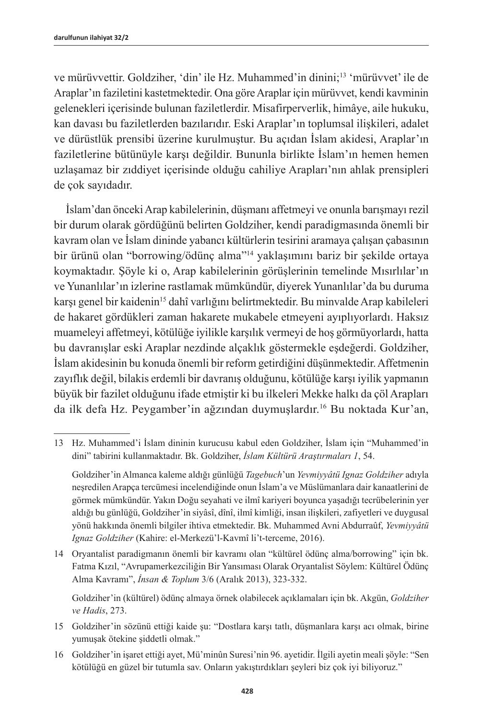ve mürüvvettir. Goldziher, 'din' ile Hz. Muhammed'in dinini;<sup>13</sup> 'mürüvvet' ile de Araplar'ın faziletini kastetmektedir. Ona göre Araplar için mürüvvet, kendi kavminin gelenekleri içerisinde bulunan faziletlerdir. Misafirperverlik, himâye, aile hukuku, kan davası bu faziletlerden bazılarıdır. Eski Araplar'ın toplumsal ilişkileri, adalet ve dürüstlük prensibi üzerine kurulmuştur. Bu açıdan İslam akidesi, Araplar'ın faziletlerine bütünüyle karşı değildir. Bununla birlikte İslam'ın hemen hemen uzlaşamaz bir zıddiyet içerisinde olduğu cahiliye Arapları'nın ahlak prensipleri de çok sayıdadır.

İslam'dan önceki Arap kabilelerinin, düşmanı affetmeyi ve onunla barışmayı rezil bir durum olarak gördüğünü belirten Goldziher, kendi paradigmasında önemli bir kavram olan ve İslam dininde yabancı kültürlerin tesirini aramaya çalışan çabasının bir ürünü olan "borrowing/ödünç alma"14 yaklaşımını bariz bir şekilde ortaya koymaktadır. Şöyle ki o, Arap kabilelerinin görüşlerinin temelinde Mısırlılar'ın ve Yunanlılar'ın izlerine rastlamak mümkündür, diyerek Yunanlılar'da bu duruma karşı genel bir kaidenin<sup>15</sup> dahî varlığını belirtmektedir. Bu minvalde Arap kabileleri de hakaret gördükleri zaman hakarete mukabele etmeyeni ayıplıyorlardı. Haksız muameleyi affetmeyi, kötülüğe iyilikle karşılık vermeyi de hoş görmüyorlardı, hatta bu davranışlar eski Araplar nezdinde alçaklık göstermekle eşdeğerdi. Goldziher, İslam akidesinin bu konuda önemli bir reform getirdiğini düşünmektedir. Affetmenin zayıflık değil, bilakis erdemli bir davranış olduğunu, kötülüğe karşı iyilik yapmanın büyük bir fazilet olduğunu ifade etmiştir ki bu ilkeleri Mekke halkı da çöl Arapları da ilk defa Hz. Peygamber'in ağzından duymuşlardır.16 Bu noktada Kur'an,

14 Oryantalist paradigmanın önemli bir kavramı olan "kültürel ödünç alma/borrowing" için bk. Fatma Kızıl, "Avrupamerkezciliğin Bir Yansıması Olarak Oryantalist Söylem: Kültürel Ödünç Alma Kavramı", *İnsan & Toplum* 3/6 (Aralık 2013), 323-332.

Goldziher'in (kültürel) ödünç almaya örnek olabilecek açıklamaları için bk. Akgün, *Goldziher ve Hadis*, 273.

16 Goldziher'in işaret ettiği ayet, Mü'minûn Suresi'nin 96. ayetidir. İlgili ayetin meali şöyle: "Sen kötülüğü en güzel bir tutumla sav. Onların yakıştırdıkları şeyleri biz çok iyi biliyoruz."

<sup>13</sup> Hz. Muhammed'i İslam dininin kurucusu kabul eden Goldziher, İslam için "Muhammed'in dini" tabirini kullanmaktadır. Bk. Goldziher, *İslam Kültürü Araştırmaları 1*, 54.

Goldziher'in Almanca kaleme aldığı günlüğü *Tagebuch*'un *Yevmiyyâtü Ignaz Goldziher* adıyla neşredilen Arapça tercümesi incelendiğinde onun İslam'a ve Müslümanlara dair kanaatlerini de görmek mümkündür. Yakın Doğu seyahati ve ilmî kariyeri boyunca yaşadığı tecrübelerinin yer aldığı bu günlüğü, Goldziher'in siyâsî, dînî, ilmî kimliği, insan ilişkileri, zafiyetleri ve duygusal yönü hakkında önemli bilgiler ihtiva etmektedir. Bk. Muhammed Avni Abdurraûf, *Yevmiyyâtü Ignaz Goldziher* (Kahire: el-Merkezü'l-Kavmî li't-terceme, 2016).

<sup>15</sup> Goldziher'in sözünü ettiği kaide şu: "Dostlara karşı tatlı, düşmanlara karşı acı olmak, birine yumuşak ötekine şiddetli olmak."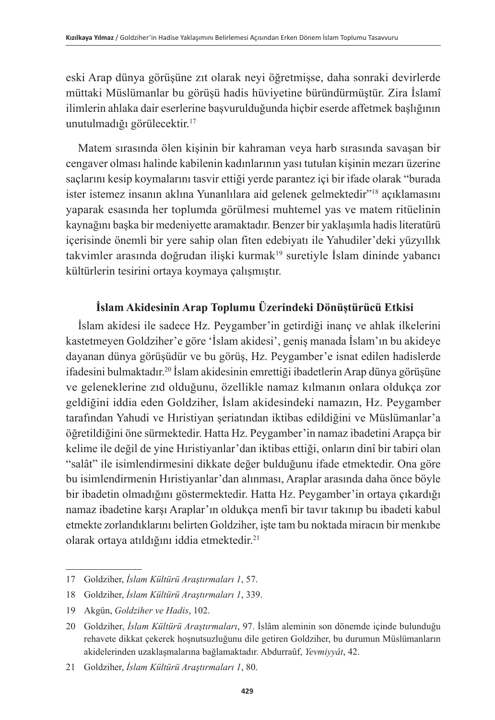eski Arap dünya görüşüne zıt olarak neyi öğretmişse, daha sonraki devirlerde müttaki Müslümanlar bu görüşü hadis hüviyetine büründürmüştür. Zira İslamî ilimlerin ahlaka dair eserlerine başvurulduğunda hiçbir eserde affetmek başlığının unutulmadığı görülecektir.17

Matem sırasında ölen kişinin bir kahraman veya harb sırasında savaşan bir cengaver olması halinde kabilenin kadınlarının yası tutulan kişinin mezarı üzerine saçlarını kesip koymalarını tasvir ettiği yerde parantez içi bir ifade olarak "burada ister istemez insanın aklına Yunanlılara aid gelenek gelmektedir<sup>318</sup> açıklamasını yaparak esasında her toplumda görülmesi muhtemel yas ve matem ritüelinin kaynağını başka bir medeniyette aramaktadır. Benzer bir yaklaşımla hadis literatürü içerisinde önemli bir yere sahip olan fiten edebiyatı ile Yahudiler'deki yüzyıllık takvimler arasında doğrudan ilişki kurmak<sup>19</sup> suretiyle İslam dininde yabancı kültürlerin tesirini ortaya koymaya çalışmıştır.

## **İslam Akidesinin Arap Toplumu Üzerindeki Dönüştürücü Etkisi**

İslam akidesi ile sadece Hz. Peygamber'in getirdiği inanç ve ahlak ilkelerini kastetmeyen Goldziher'e göre 'İslam akidesi', geniş manada İslam'ın bu akideye dayanan dünya görüşüdür ve bu görüş, Hz. Peygamber'e isnat edilen hadislerde ifadesini bulmaktadır.<sup>20</sup> İslam akidesinin emrettiği ibadetlerin Arap dünya görüşüne ve geleneklerine zıd olduğunu, özellikle namaz kılmanın onlara oldukça zor geldiğini iddia eden Goldziher, İslam akidesindeki namazın, Hz. Peygamber tarafından Yahudi ve Hıristiyan şeriatından iktibas edildiğini ve Müslümanlar'a öğretildiğini öne sürmektedir. Hatta Hz. Peygamber'in namaz ibadetini Arapça bir kelime ile değil de yine Hıristiyanlar'dan iktibas ettiği, onların dinî bir tabiri olan "salât" ile isimlendirmesini dikkate değer bulduğunu ifade etmektedir. Ona göre bu isimlendirmenin Hıristiyanlar'dan alınması, Araplar arasında daha önce böyle bir ibadetin olmadığını göstermektedir. Hatta Hz. Peygamber'in ortaya çıkardığı namaz ibadetine karşı Araplar'ın oldukça menfi bir tavır takınıp bu ibadeti kabul etmekte zorlandıklarını belirten Goldziher, işte tam bu noktada miracın bir menkıbe olarak ortaya atıldığını iddia etmektedir.<sup>21</sup>

<sup>17</sup> Goldziher, *İslam Kültürü Araştırmaları 1*, 57.

<sup>18</sup> Goldziher, *İslam Kültürü Araştırmaları 1*, 339.

<sup>19</sup> Akgün, *Goldziher ve Hadis*, 102.

<sup>20</sup> Goldziher, *İslam Kültürü Araştırmaları*, 97. İslâm aleminin son dönemde içinde bulunduğu rehavete dikkat çekerek hoşnutsuzluğunu dile getiren Goldziher, bu durumun Müslümanların akidelerinden uzaklaşmalarına bağlamaktadır. Abdurraûf, *Yevmiyyât*, 42.

<sup>21</sup> Goldziher, *İslam Kültürü Araştırmaları 1*, 80.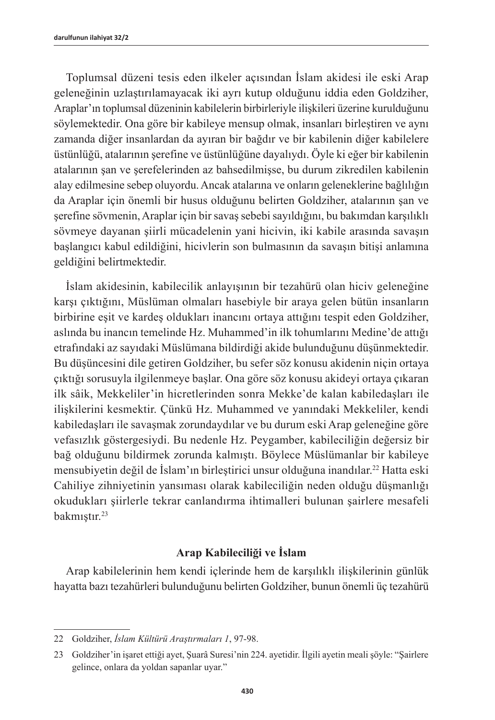Toplumsal düzeni tesis eden ilkeler açısından İslam akidesi ile eski Arap geleneğinin uzlaştırılamayacak iki ayrı kutup olduğunu iddia eden Goldziher, Araplar'ın toplumsal düzeninin kabilelerin birbirleriyle ilişkileri üzerine kurulduğunu söylemektedir. Ona göre bir kabileye mensup olmak, insanları birleştiren ve aynı zamanda diğer insanlardan da ayıran bir bağdır ve bir kabilenin diğer kabilelere üstünlüğü, atalarının şerefine ve üstünlüğüne dayalıydı. Öyle ki eğer bir kabilenin atalarının şan ve şerefelerinden az bahsedilmişse, bu durum zikredilen kabilenin alay edilmesine sebep oluyordu. Ancak atalarına ve onların geleneklerine bağlılığın da Araplar için önemli bir husus olduğunu belirten Goldziher, atalarının şan ve şerefine sövmenin, Araplar için bir savaş sebebi sayıldığını, bu bakımdan karşılıklı sövmeye dayanan şiirli mücadelenin yani hicivin, iki kabile arasında savaşın başlangıcı kabul edildiğini, hicivlerin son bulmasının da savaşın bitişi anlamına geldiğini belirtmektedir.

İslam akidesinin, kabilecilik anlayışının bir tezahürü olan hiciv geleneğine karşı çıktığını, Müslüman olmaları hasebiyle bir araya gelen bütün insanların birbirine eşit ve kardeş oldukları inancını ortaya attığını tespit eden Goldziher, aslında bu inancın temelinde Hz. Muhammed'in ilk tohumlarını Medine'de attığı etrafındaki az sayıdaki Müslümana bildirdiği akide bulunduğunu düşünmektedir. Bu düşüncesini dile getiren Goldziher, bu sefer söz konusu akidenin niçin ortaya çıktığı sorusuyla ilgilenmeye başlar. Ona göre söz konusu akideyi ortaya çıkaran ilk sâik, Mekkeliler'in hicretlerinden sonra Mekke'de kalan kabiledaşları ile ilişkilerini kesmektir. Çünkü Hz. Muhammed ve yanındaki Mekkeliler, kendi kabiledaşları ile savaşmak zorundaydılar ve bu durum eski Arap geleneğine göre vefasızlık göstergesiydi. Bu nedenle Hz. Peygamber, kabileciliğin değersiz bir bağ olduğunu bildirmek zorunda kalmıştı. Böylece Müslümanlar bir kabileye mensubiyetin değil de İslam'ın birleştirici unsur olduğuna inandılar.22 Hatta eski Cahiliye zihniyetinin yansıması olarak kabileciliğin neden olduğu düşmanlığı okudukları şiirlerle tekrar canlandırma ihtimalleri bulunan şairlere mesafeli bakmıştır.<sup>23</sup>

#### **Arap Kabileciliği ve İslam**

Arap kabilelerinin hem kendi içlerinde hem de karşılıklı ilişkilerinin günlük hayatta bazı tezahürleri bulunduğunu belirten Goldziher, bunun önemli üç tezahürü

<sup>22</sup> Goldziher, *İslam Kültürü Araştırmaları 1*, 97-98.

<sup>23</sup> Goldziher'in işaret ettiği ayet, Şuarâ Suresi'nin 224. ayetidir. İlgili ayetin meali şöyle: "Şairlere gelince, onlara da yoldan sapanlar uyar."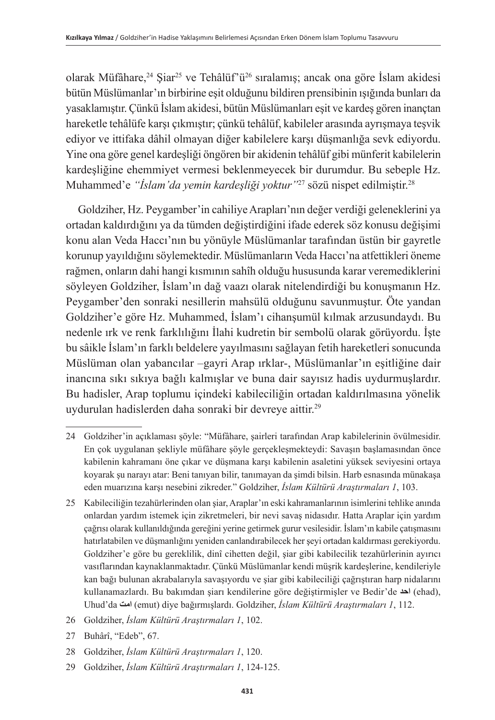olarak Müfâhare,<sup>24</sup> Siar<sup>25</sup> ve Tehâlüf'ü<sup>26</sup> sıralamış; ancak ona göre İslam akidesi bütün Müslümanlar'ın birbirine eşit olduğunu bildiren prensibinin ışığında bunları da yasaklamıştır. Çünkü İslam akidesi, bütün Müslümanları eşit ve kardeş gören inançtan hareketle tehâlüfe karşı çıkmıştır; çünkü tehâlüf, kabileler arasında ayrışmaya teşvik ediyor ve ittifaka dâhil olmayan diğer kabilelere karşı düşmanlığa sevk ediyordu. Yine ona göre genel kardeşliği öngören bir akidenin tehâlüf gibi münferit kabilelerin kardeşliğine ehemmiyet vermesi beklenmeyecek bir durumdur. Bu sebeple Hz. Muhammed'e *"İslam'da yemin kardeşliği yoktur"*<sup>27</sup> sözü nispet edilmiştir.<sup>28</sup>

Goldziher, Hz. Peygamber'in cahiliye Arapları'nın değer verdiği geleneklerini ya ortadan kaldırdığını ya da tümden değiştirdiğini ifade ederek söz konusu değişimi konu alan Veda Haccı'nın bu yönüyle Müslümanlar tarafından üstün bir gayretle korunup yayıldığını söylemektedir. Müslümanların Veda Haccı'na atfettikleri öneme rağmen, onların dahi hangi kısmının sahîh olduğu hususunda karar veremediklerini söyleyen Goldziher, İslam'ın dağ vaazı olarak nitelendirdiği bu konuşmanın Hz. Peygamber'den sonraki nesillerin mahsülü olduğunu savunmuştur. Öte yandan Goldziher'e göre Hz. Muhammed, İslam'ı cihanşumül kılmak arzusundaydı. Bu nedenle ırk ve renk farklılığını İlahi kudretin bir sembolü olarak görüyordu. İşte bu sâikle İslam'ın farklı beldelere yayılmasını sağlayan fetih hareketleri sonucunda Müslüman olan yabancılar –gayri Arap ırklar-, Müslümanlar'ın eşitliğine dair inancına sıkı sıkıya bağlı kalmışlar ve buna dair sayısız hadis uydurmuşlardır. Bu hadisler, Arap toplumu içindeki kabileciliğin ortadan kaldırılmasına yönelik uydurulan hadislerden daha sonraki bir devreye aittir.29

- 26 Goldziher, *İslam Kültürü Araştırmaları 1*, 102.
- 27 Buhârî, "Edeb", 67.
- 28 Goldziher, *İslam Kültürü Araştırmaları 1*, 120.
- 29 Goldziher, *İslam Kültürü Araştırmaları 1*, 124-125.

<sup>24</sup> Goldziher'in açıklaması şöyle: "Müfâhare, şairleri tarafından Arap kabilelerinin övülmesidir. En çok uygulanan şekliyle müfâhare şöyle gerçekleşmekteydi: Savaşın başlamasından önce kabilenin kahramanı öne çıkar ve düşmana karşı kabilenin asaletini yüksek seviyesini ortaya koyarak şu narayı atar: Beni tanıyan bilir, tanımayan da şimdi bilsin. Harb esnasında münakaşa eden muarızına karşı nesebini zikreder." Goldziher, *İslam Kültürü Araştırmaları 1*, 103.

<sup>25</sup> Kabileciliğin tezahürlerinden olan şiar, Araplar'ın eski kahramanlarının isimlerini tehlike anında onlardan yardım istemek için zikretmeleri, bir nevi savaş nidasıdır. Hatta Araplar için yardım çağrısı olarak kullanıldığında gereğini yerine getirmek gurur vesilesidir. İslam'ın kabile çatışmasını hatırlatabilen ve düşmanlığını yeniden canlandırabilecek her şeyi ortadan kaldırması gerekiyordu. Goldziher'e göre bu gereklilik, dinî cihetten değil, şiar gibi kabilecilik tezahürlerinin ayırıcı vasıflarından kaynaklanmaktadır. Çünkü Müslümanlar kendi müşrik kardeşlerine, kendileriyle kan bağı bulunan akrabalarıyla savaşıyordu ve şiar gibi kabileciliği çağrıştıran harp nidalarını kullanamazlardı. Bu bakımdan şiarı kendilerine göre değiştirmişler ve Bedir'de احد (ehad), Uhud'da **امت**) emut) diye bağırmışlardı. Goldziher, *İslam Kültürü Araştırmaları 1*, 112.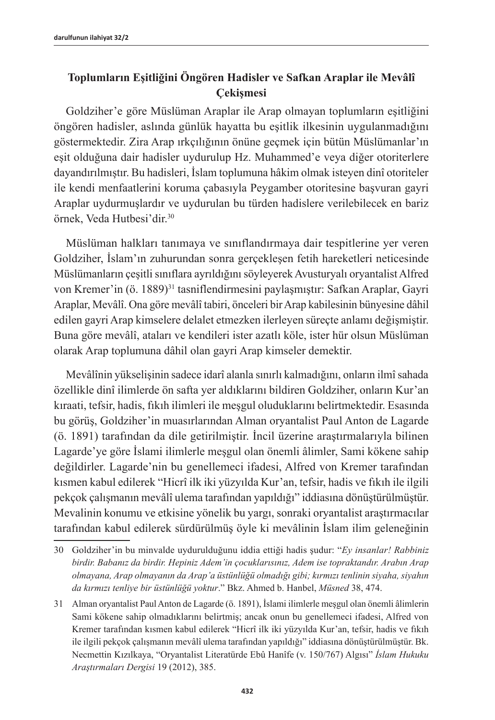## **Toplumların Eşitliğini Öngören Hadisler ve Safkan Araplar ile Mevâlî Çekişmesi**

Goldziher'e göre Müslüman Araplar ile Arap olmayan toplumların eşitliğini öngören hadisler, aslında günlük hayatta bu eşitlik ilkesinin uygulanmadığını göstermektedir. Zira Arap ırkçılığının önüne geçmek için bütün Müslümanlar'ın eşit olduğuna dair hadisler uydurulup Hz. Muhammed'e veya diğer otoriterlere dayandırılmıştır. Bu hadisleri, İslam toplumuna hâkim olmak isteyen dinî otoriteler ile kendi menfaatlerini koruma çabasıyla Peygamber otoritesine başvuran gayri Araplar uydurmuşlardır ve uydurulan bu türden hadislere verilebilecek en bariz örnek, Veda Hutbesi'dir.<sup>30</sup>

Müslüman halkları tanımaya ve sınıflandırmaya dair tespitlerine yer veren Goldziher, İslam'ın zuhurundan sonra gerçekleşen fetih hareketleri neticesinde Müslümanların çeşitli sınıflara ayrıldığını söyleyerek Avusturyalı oryantalist Alfred von Kremer'in (ö. 1889)<sup>31</sup> tasniflendirmesini paylaşmıştır: Safkan Araplar, Gayri Araplar, Mevâlî. Ona göre mevâlî tabiri, önceleri bir Arap kabilesinin bünyesine dâhil edilen gayri Arap kimselere delalet etmezken ilerleyen süreçte anlamı değişmiştir. Buna göre mevâlî, ataları ve kendileri ister azatlı köle, ister hür olsun Müslüman olarak Arap toplumuna dâhil olan gayri Arap kimseler demektir.

Mevâlînin yükselişinin sadece idarî alanla sınırlı kalmadığını, onların ilmî sahada özellikle dinî ilimlerde ön safta yer aldıklarını bildiren Goldziher, onların Kur'an kıraati, tefsir, hadis, fıkıh ilimleri ile meşgul oluduklarını belirtmektedir. Esasında bu görüş, Goldziher'in muasırlarından Alman oryantalist Paul Anton de Lagarde (ö. 1891) tarafından da dile getirilmiştir. İncil üzerine araştırmalarıyla bilinen Lagarde'ye göre İslami ilimlerle meşgul olan önemli âlimler, Sami kökene sahip değildirler. Lagarde'nin bu genellemeci ifadesi, Alfred von Kremer tarafından kısmen kabul edilerek "Hicrî ilk iki yüzyılda Kur'an, tefsir, hadis ve fıkıh ile ilgili pekçok çalışmanın mevâlî ulema tarafından yapıldığı" iddiasına dönüştürülmüştür. Mevalinin konumu ve etkisine yönelik bu yargı, sonraki oryantalist araştırmacılar tarafından kabul edilerek sürdürülmüş öyle ki mevâlinin İslam ilim geleneğinin

<sup>30</sup> Goldziher'in bu minvalde uydurulduğunu iddia ettiği hadis şudur: "*Ey insanlar! Rabbiniz birdir. Babanız da birdir. Hepiniz Adem'in çocuklarısınız, Adem ise topraktandır. Arabın Arap olmayana, Arap olmayanın da Arap'a üstünlüğü olmadığı gibi; kırmızı tenlinin siyaha, siyahın da kırmızı tenliye bir üstünlüğü yoktur*." Bkz. Ahmed b. Hanbel, *Müsned* 38, 474.

<sup>31</sup> Alman oryantalist Paul Anton de Lagarde (ö. 1891), İslami ilimlerle meşgul olan önemli âlimlerin Sami kökene sahip olmadıklarını belirtmiş; ancak onun bu genellemeci ifadesi, Alfred von Kremer tarafından kısmen kabul edilerek "Hicrî ilk iki yüzyılda Kur'an, tefsir, hadis ve fıkıh ile ilgili pekçok çalışmanın mevâlî ulema tarafından yapıldığı" iddiasına dönüştürülmüştür. Bk. Necmettin Kızılkaya, "Oryantalist Literatürde Ebû Hanîfe (v. 150/767) Algısı" *İslam Hukuku Araştırmaları Dergisi* 19 (2012), 385.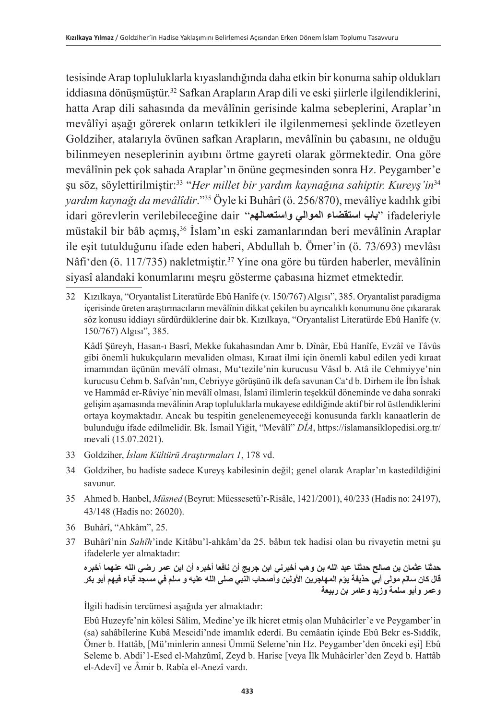tesisinde Arap topluluklarla kıyaslandığında daha etkin bir konuma sahip oldukları iddiasına dönüşmüştür.<sup>32</sup> Safkan Arapların Arap dili ve eski şiirlerle ilgilendiklerini, hatta Arap dili sahasında da mevâlînin gerisinde kalma sebeplerini, Araplar'ın mevâlîyi aşağı görerek onların tetkikleri ile ilgilenmemesi şeklinde özetleyen Goldziher, atalarıyla övünen safkan Arapların, mevâlînin bu çabasını, ne olduğu bilinmeyen neseplerinin ayıbını örtme gayreti olarak görmektedir. Ona göre mevâlînin pek çok sahada Araplar'ın önüne geçmesinden sonra Hz. Peygamber'e şu söz, söylettirilmiştir:33 "*Her millet bir yardım kaynağına sahiptir. Kureyş'in*<sup>34</sup> *yardım kaynağı da mevâlîdir*."35 Öyle ki Buhârî (ö. 256/870), mevâlîye kadılık gibi idari görevlerin verilebileceğine dair "**واستعمالهم الموالي استقضاء باب** "ifadeleriyle müstakil bir bâb açmış,36 İslam'ın eski zamanlarından beri mevâlînin Araplar ile eşit tutulduğunu ifade eden haberi, Abdullah b. Ömer'in (ö. 73/693) mevlâsı Nâfi'den (ö. 117/735) nakletmiştir.<sup>37</sup> Yine ona göre bu türden haberler, mevâlînin siyasî alandaki konumlarını meşru gösterme çabasına hizmet etmektedir.

32 Kızılkaya, "Oryantalist Literatürde Ebû Hanîfe (v. 150/767) Algısı", 385. Oryantalist paradigma içerisinde üreten araştırmacıların mevâlînin dikkat çekilen bu ayrıcalıklı konumunu öne çıkararak söz konusu iddiayı sürdürdüklerine dair bk. Kızılkaya, "Oryantalist Literatürde Ebû Hanîfe (v. 150/767) Algısı", 385.

Kâdî Şüreyh, Hasan-ı Basrî, Mekke fukahasından Amr b. Dînâr, Ebû Hanîfe, Evzâî ve Tâvûs gibi önemli hukukçuların mevaliden olması, Kıraat ilmi için önemli kabul edilen yedi kıraat imamından üçünün mevâlî olması, Mu'tezile'nin kurucusu Vâsıl b. Atâ ile Cehmiyye'nin kurucusu Cehm b. Safvân'nın, Cebriyye görüşünü ilk defa savunan Ca'd b. Dirhem ile İbn İshak ve Hammâd er-Râviye'nin mevâlî olması, İslamî ilimlerin teşekkül döneminde ve daha sonraki gelişim aşamasında mevâlinin Arap topluluklarla mukayese edildiğinde aktif bir rol üstlendiklerini ortaya koymaktadır. Ancak bu tespitin genelenemeyeceği konusunda farklı kanaatlerin de bulunduğu ifade edilmelidir. Bk. İsmail Yiğit, "Mevâlî" *DİA*, https://islamansiklopedisi.org.tr/ mevali (15.07.2021).

- 33 Goldziher, *İslam Kültürü Araştırmaları 1*, 178 vd.
- 34 Goldziher, bu hadiste sadece Kureyş kabilesinin değil; genel olarak Araplar'ın kastedildiğini savunur.
- 35 Ahmed b. Hanbel, *Müsned* (Beyrut: Müessesetü'r-Risâle, 1421/2001), 40/233 (Hadis no: 24197), 43/148 (Hadis no: 26020).
- 36 Buhârî, "Ahkâm", 25.
- 37 Buhârî'nin *Sahîh*'inde Kitâbu'l-ahkâm'da 25. bâbın tek hadisi olan bu rivayetin metni şu ifadelerle yer almaktadır:

**حدثنا عثمان بن صالح حدثنا عبد الله بن وهب أخبرني ابن جريج أن نافعا أخبره أن ابن عمر رضي الله عنهما أخبره قال كان سالم مولى أبي حذيفة يؤم المهاجرين األولين وأصحاب النبي صلى الله عليه و سلم في مسجد قباء فيهم أبو بكر وعمر وأبو سلمة وزيد وعامر بن ربيعة**

İlgili hadisin tercümesi aşağıda yer almaktadır:

Ebû Huzeyfe'nin kölesi Sâlim, Medine'ye ilk hicret etmiş olan Muhâcirler'e ve Peygamber'in (sa) sahâbîlerine Kubâ Mescidi'nde imamlık ederdi. Bu cemâatin içinde Ebû Bekr es-Sıddîk, Ömer b. Hattâb, [Mü'minlerin annesi Ümmü Seleme'nin Hz. Peygamber'den önceki eşi] Ebû Seleme b. Abdi'1-Esed el-Mahzûmî, Zeyd b. Harise [veya İlk Muhâcirler'den Zeyd b. Hattâb el-Adevî] ve Âmir b. Rabîa el-Anezî vardı.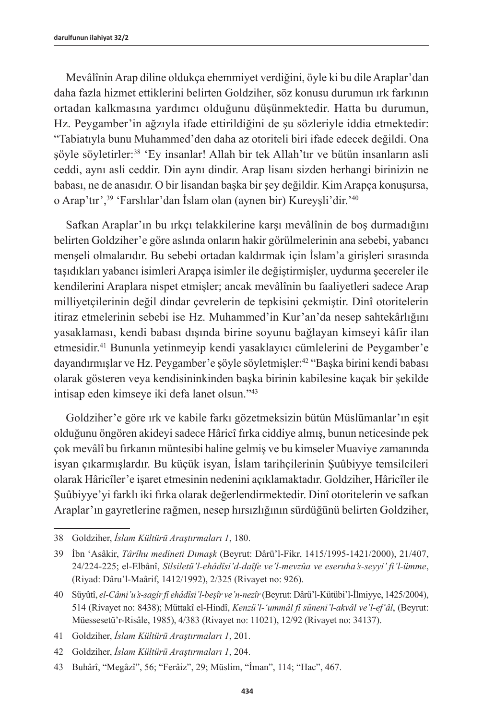Mevâlînin Arap diline oldukça ehemmiyet verdiğini, öyle ki bu dile Araplar'dan daha fazla hizmet ettiklerini belirten Goldziher, söz konusu durumun ırk farkının ortadan kalkmasına yardımcı olduğunu düşünmektedir. Hatta bu durumun, Hz. Peygamber'in ağzıyla ifade ettirildiğini de şu sözleriyle iddia etmektedir: "Tabiatıyla bunu Muhammed'den daha az otoriteli biri ifade edecek değildi. Ona şöyle söyletirler:<sup>38</sup> 'Ey insanlar! Allah bir tek Allah'tır ve bütün insanların asli ceddi, aynı asli ceddir. Din aynı dindir. Arap lisanı sizden herhangi birinizin ne babası, ne de anasıdır. O bir lisandan başka bir şey değildir. Kim Arapça konuşursa, o Arap'tır',<sup>39</sup> 'Farslılar'dan İslam olan (aynen bir) Kureyşli'dir.'40

Safkan Araplar'ın bu ırkçı telakkilerine karşı mevâlînin de boş durmadığını belirten Goldziher'e göre aslında onların hakir görülmelerinin ana sebebi, yabancı menşeli olmalarıdır. Bu sebebi ortadan kaldırmak için İslam'a girişleri sırasında taşıdıkları yabancı isimleri Arapça isimler ile değiştirmişler, uydurma şecereler ile kendilerini Araplara nispet etmişler; ancak mevâlînin bu faaliyetleri sadece Arap milliyetçilerinin değil dindar çevrelerin de tepkisini çekmiştir. Dinî otoritelerin itiraz etmelerinin sebebi ise Hz. Muhammed'in Kur'an'da nesep sahtekârlığını yasaklaması, kendi babası dışında birine soyunu bağlayan kimseyi kâfir ilan etmesidir.41 Bununla yetinmeyip kendi yasaklayıcı cümlelerini de Peygamber'e dayandırmışlar ve Hz. Peygamber'e şöyle söyletmişler:<sup>42</sup> "Başka birini kendi babası olarak gösteren veya kendisininkinden başka birinin kabilesine kaçak bir şekilde intisap eden kimseye iki defa lanet olsun."<sup>43</sup>

Goldziher'e göre ırk ve kabile farkı gözetmeksizin bütün Müslümanlar'ın eşit olduğunu öngören akideyi sadece Hâricî fırka ciddiye almış, bunun neticesinde pek çok mevâlî bu fırkanın müntesibi haline gelmiş ve bu kimseler Muaviye zamanında isyan çıkarmışlardır. Bu küçük isyan, İslam tarihçilerinin Şuûbiyye temsilcileri olarak Hâricîler'e işaret etmesinin nedenini açıklamaktadır. Goldziher, Hâricîler ile Şuûbiyye'yi farklı iki fırka olarak değerlendirmektedir. Dinî otoritelerin ve safkan Araplar'ın gayretlerine rağmen, nesep hırsızlığının sürdüğünü belirten Goldziher,

41 Goldziher, *İslam Kültürü Araştırmaları 1*, 201.

<sup>38</sup> Goldziher, *İslam Kültürü Araştırmaları 1*, 180.

<sup>39</sup> İbn 'Asâkir, *Târîhu medîneti Dımaşk* (Beyrut: Dârü'l-Fikr, 1415/1995-1421/2000), 21/407, 24/224-225; el-Elbânî, *Silsiletü'l-ehâdîsi'd-daîfe ve'l-mevzûa ve eseruha's-seyyi' fi'l-ümme*, (Riyad: Dâru'l-Maârif, 1412/1992), 2/325 (Rivayet no: 926).

<sup>40</sup> Süyûtî, *el-Câmi'u's-sagîr fî ehâdîsi'l-beşîr ve'n-nezîr* (Beyrut: Dârü'l-Kütübi'l-İlmiyye, 1425/2004), 514 (Rivayet no: 8438); Müttakî el-Hindî, *Kenzü'l-'ummâl fî süneni'l-akvâl ve'l-ef'âl*, (Beyrut: Müessesetü'r-Risâle, 1985), 4/383 (Rivayet no: 11021), 12/92 (Rivayet no: 34137).

<sup>42</sup> Goldziher, *İslam Kültürü Araştırmaları 1*, 204.

<sup>43</sup> Buhârî, "Megâzî", 56; "Ferâiz", 29; Müslim, "İman", 114; "Hac", 467.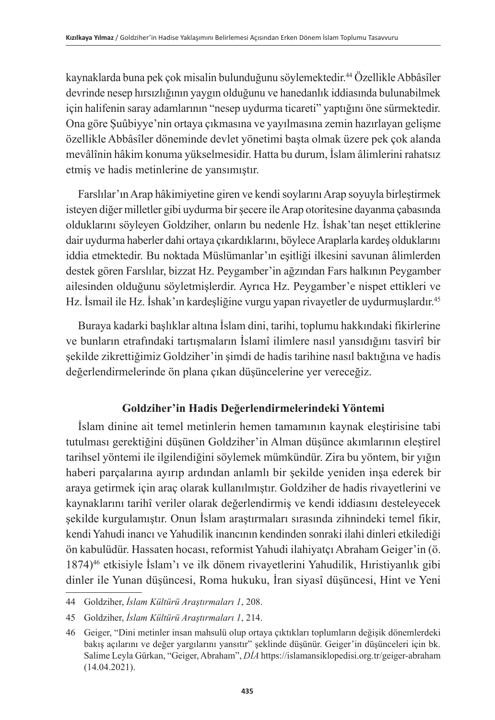kaynaklarda buna pek çok misalin bulunduğunu söylemektedir.<sup>44</sup> Özellikle Abbâsîler devrinde nesep hırsızlığının yaygın olduğunu ve hanedanlık iddiasında bulunabilmek için halifenin saray adamlarının "nesep uydurma ticareti" yaptığını öne sürmektedir. Ona göre Şuûbiyye'nin ortaya çıkmasına ve yayılmasına zemin hazırlayan gelişme özellikle Abbâsîler döneminde devlet yönetimi başta olmak üzere pek çok alanda mevâlînin hâkim konuma yükselmesidir. Hatta bu durum, İslam âlimlerini rahatsız etmiş ve hadis metinlerine de yansımıştır.

Farslılar'ın Arap hâkimiyetine giren ve kendi soylarını Arap soyuyla birleştirmek isteyen diğer milletler gibi uydurma bir şecere ile Arap otoritesine dayanma çabasında olduklarını söyleyen Goldziher, onların bu nedenle Hz. İshak'tan neşet ettiklerine dair uydurma haberler dahi ortaya çıkardıklarını, böylece Araplarla kardeş olduklarını iddia etmektedir. Bu noktada Müslümanlar'ın eşitliği ilkesini savunan âlimlerden destek gören Farslılar, bizzat Hz. Peygamber'in ağzından Fars halkının Peygamber ailesinden olduğunu söyletmişlerdir. Ayrıca Hz. Peygamber'e nispet ettikleri ve Hz. İsmail ile Hz. İshak'ın kardeşliğine vurgu yapan rivayetler de uydurmuşlardır.<sup>45</sup>

Buraya kadarki başlıklar altına İslam dini, tarihi, toplumu hakkındaki fikirlerine ve bunların etrafındaki tartışmaların İslamî ilimlere nasıl yansıdığını tasvirî bir şekilde zikrettiğimiz Goldziher'in şimdi de hadis tarihine nasıl baktığına ve hadis değerlendirmelerinde ön plana çıkan düşüncelerine yer vereceğiz.

## **Goldziher'in Hadis Değerlendirmelerindeki Yöntemi**

İslam dinine ait temel metinlerin hemen tamamının kaynak eleştirisine tabi tutulması gerektiğini düşünen Goldziher'in Alman düşünce akımlarının eleştirel tarihsel yöntemi ile ilgilendiğini söylemek mümkündür. Zira bu yöntem, bir yığın haberi parçalarına ayırıp ardından anlamlı bir şekilde yeniden inşa ederek bir araya getirmek için araç olarak kullanılmıştır. Goldziher de hadis rivayetlerini ve kaynaklarını tarihî veriler olarak değerlendirmiş ve kendi iddiasını desteleyecek şekilde kurgulamıştır. Onun İslam araştırmaları sırasında zihnindeki temel fikir, kendi Yahudi inancı ve Yahudilik inancının kendinden sonraki ilahi dinleri etkilediği ön kabulüdür. Hassaten hocası, reformist Yahudi ilahiyatçı Abraham Geiger'in (ö. 1874)46 etkisiyle İslam'ı ve ilk dönem rivayetlerini Yahudilik, Hıristiyanlık gibi dinler ile Yunan düşüncesi, Roma hukuku, İran siyasî düşüncesi, Hint ve Yeni

<sup>44</sup> Goldziher, *İslam Kültürü Araştırmaları 1*, 208.

<sup>45</sup> Goldziher, *İslam Kültürü Araştırmaları 1*, 214.

<sup>46</sup> Geiger, "Dini metinler insan mahsulü olup ortaya çıktıkları toplumların değişik dönemlerdeki bakış açılarını ve değer yargılarını yansıtır" şeklinde düşünür. Geiger'in düşünceleri için bk. Salime Leyla Gürkan, "Geiger, Abraham", *DİA* https://islamansiklopedisi.org.tr/geiger-abraham (14.04.2021).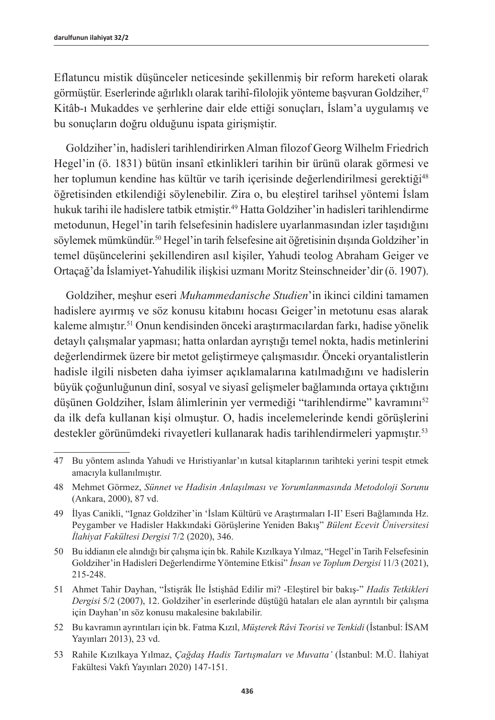Eflatuncu mistik düşünceler neticesinde şekillenmiş bir reform hareketi olarak görmüştür. Eserlerinde ağırlıklı olarak tarihî-filolojik yönteme başvuran Goldziher,47 Kitâb-ı Mukaddes ve şerhlerine dair elde ettiği sonuçları, İslam'a uygulamış ve bu sonuçların doğru olduğunu ispata girişmiştir.

Goldziher'in, hadisleri tarihlendirirken Alman filozof Georg Wilhelm Friedrich Hegel'in (ö. 1831) bütün insanî etkinlikleri tarihin bir ürünü olarak görmesi ve her toplumun kendine has kültür ve tarih içerisinde değerlendirilmesi gerektiği<sup>48</sup> öğretisinden etkilendiği söylenebilir. Zira o, bu eleştirel tarihsel yöntemi İslam hukuk tarihi ile hadislere tatbik etmiştir.<sup>49</sup> Hatta Goldziher'in hadisleri tarihlendirme metodunun, Hegel'in tarih felsefesinin hadislere uyarlanmasından izler taşıdığını söylemek mümkündür.<sup>50</sup> Hegel'in tarih felsefesine ait öğretisinin dışında Goldziher'in temel düşüncelerini şekillendiren asıl kişiler, Yahudi teolog Abraham Geiger ve Ortaçağ'da İslamiyet-Yahudilik ilişkisi uzmanı Moritz Steinschneider'dir (ö. 1907).

Goldziher, meşhur eseri *Muhammedanische Studien*'in ikinci cildini tamamen hadislere ayırmış ve söz konusu kitabını hocası Geiger'in metotunu esas alarak kaleme almıştır.<sup>51</sup> Onun kendisinden önceki araştırmacılardan farkı, hadise yönelik detaylı çalışmalar yapması; hatta onlardan ayrıştığı temel nokta, hadis metinlerini değerlendirmek üzere bir metot geliştirmeye çalışmasıdır. Önceki oryantalistlerin hadisle ilgili nisbeten daha iyimser açıklamalarına katılmadığını ve hadislerin büyük çoğunluğunun dinî, sosyal ve siyasî gelişmeler bağlamında ortaya çıktığını düşünen Goldziher, İslam âlimlerinin yer vermediği "tarihlendirme" kavramını<sup>52</sup> da ilk defa kullanan kişi olmuştur. O, hadis incelemelerinde kendi görüşlerini destekler görünümdeki rivayetleri kullanarak hadis tarihlendirmeleri yapmıştır. 53

<sup>47</sup> Bu yöntem aslında Yahudi ve Hıristiyanlar'ın kutsal kitaplarının tarihteki yerini tespit etmek amacıyla kullanılmıştır.

<sup>48</sup> Mehmet Görmez, *Sünnet ve Hadisin Anlaşılması ve Yorumlanmasında Metodoloji Sorunu* (Ankara, 2000), 87 vd.

<sup>49</sup> İlyas Canikli, "Ignaz Goldziher'in 'İslam Kültürü ve Araştırmaları I-II' Eseri Bağlamında Hz. Peygamber ve Hadisler Hakkındaki Görüşlerine Yeniden Bakış" *Bülent Ecevit Üniversitesi İlahiyat Fakültesi Dergisi* 7/2 (2020), 346.

<sup>50</sup> Bu iddianın ele alındığı bir çalışma için bk. Rahile Kızılkaya Yılmaz, "Hegel'in Tarih Felsefesinin Goldziher'in Hadisleri Değerlendirme Yöntemine Etkisi" *İnsan ve Toplum Dergisi* 11/3 (2021), 215-248.

<sup>51</sup> Ahmet Tahir Dayhan, "İstişrâk İle İstişhâd Edilir mi? -Eleştirel bir bakış-" *Hadis Tetkikleri Dergisi* 5/2 (2007), 12. Goldziher'in eserlerinde düştüğü hataları ele alan ayrıntılı bir çalışma için Dayhan'ın söz konusu makalesine bakılabilir.

<sup>52</sup> Bu kavramın ayrıntıları için bk. Fatma Kızıl, *Müşterek Râvi Teorisi ve Tenkidi* (İstanbul: İSAM Yayınları 2013), 23 vd.

<sup>53</sup> Rahile Kızılkaya Yılmaz, *Çağdaş Hadis Tartışmaları ve Muvatta'* (İstanbul: M.Ü. İlahiyat Fakültesi Vakfı Yayınları 2020) 147-151.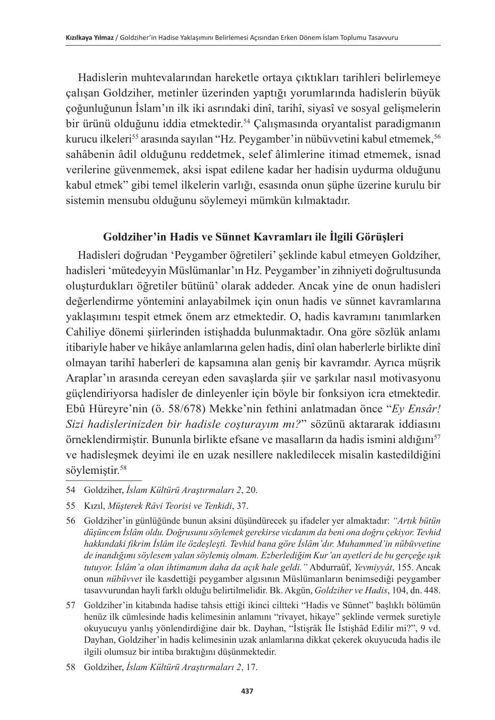Hadislerin muhtevalarından hareketle ortaya çıktıkları tarihleri belirlemeye çalışan Goldziher, metinler üzerinden yaptığı yorumlarında hadislerin büyük çoğunluğunun İslam'ın ilk iki asrındaki dinî, tarihî, siyasî ve sosyal gelişmelerin bir ürünü olduğunu iddia etmektedir.<sup>54</sup> Calısmasında oryantalist paradigmanın kurucu ilkeleri<sup>55</sup> arasında sayılan "Hz. Peygamber'in nübüvvetini kabul etmemek,<sup>56</sup> sahâbenin âdil olduğunu reddetmek, selef âlimlerine itimad etmemek, isnad verilerine güvenmemek, aksi ispat edilene kadar her hadisin uydurma olduğunu kabul etmek" gibi temel ilkelerin varlığı, esasında onun şüphe üzerine kurulu bir sistemin mensubu olduğunu söylemeyi mümkün kılmaktadır.

#### **Goldziher'in Hadis ve Sünnet Kavramları ile İlgili Görüşleri**

Hadisleri doğrudan 'Peygamber öğretileri' şeklinde kabul etmeyen Goldziher, hadisleri 'mütedeyyin Müslümanlar'ın Hz. Peygamber'in zihniyeti doğrultusunda oluşturdukları öğretiler bütünü' olarak addeder. Ancak yine de onun hadisleri değerlendirme yöntemini anlayabilmek için onun hadis ve sünnet kavramlarına yaklaşımını tespit etmek önem arz etmektedir. O, hadis kavramını tanımlarken Cahiliye dönemi şiirlerinden istişhadda bulunmaktadır. Ona göre sözlük anlamı itibariyle haber ve hikâye anlamlarına gelen hadis, dinî olan haberlerle birlikte dinî olmayan tarihî haberleri de kapsamına alan geniş bir kavramdır. Ayrıca müşrik Araplar'ın arasında cereyan eden savaşlarda şiir ve şarkılar nasıl motivasyonu güçlendiriyorsa hadisler de dinleyenler için böyle bir fonksiyon icra etmektedir. Ebû Hüreyre'nin (ö. 58/678) Mekke'nin fethini anlatmadan önce "*Ey Ensâr! Sizi hadislerinizden bir hadisle coşturayım mı?*" sözünü aktararak iddiasını örneklendirmiştir. Bununla birlikte efsane ve masalların da hadis ismini aldığını<sup>57</sup> ve hadisleşmek deyimi ile en uzak nesillere nakledilecek misalin kastedildiğini söylemiştir.<sup>58</sup>

<sup>54</sup> Goldziher, *İslam Kültürü Araştırmaları 2*, 20.

<sup>55</sup> Kızıl, *Müşterek Râvi Teorisi ve Tenkidi*, 37.

<sup>56</sup> Goldziher'in günlüğünde bunun aksini düşündürecek şu ifadeler yer almaktadır: *"Artık bütün düşüncem İslâm oldu. Doğrusunu söylemek gerekirse vicdanım da beni ona doğru çekiyor. Tevhid hakkındaki fikrim İslâm ile özdeşleşti. Tevhid bana göre İslâm'dır. Muhammed'in nübüvvetine de inandığımı söylesem yalan söylemiş olmam. Ezberlediğim Kur'an ayetleri de bu gerçeğe ışık tutuyor. İslâm'a olan ihtimamım daha da açık hale geldi."* Abdurraûf, *Yevmiyyât*, 155. Ancak onun *nübüvvet* ile kasdettiği peygamber algısının Müslümanların benimsediği peygamber tasavvurundan hayli farklı olduğu belirtilmelidir. Bk. Akgün, *Goldziher ve Hadis*, 104, dn. 448.

<sup>57</sup> Goldziher'in kitabında hadise tahsis ettiği ikinci ciltteki "Hadis ve Sünnet" başlıklı bölümün henüz ilk cümlesinde hadis kelimesinin anlamını "rivayet, hikaye" şeklinde vermek suretiyle okuyucuyu yanlış yönlendirdiğine dair bk. Dayhan, "İstişrâk İle İstişhâd Edilir mi?", 9 vd. Dayhan, Goldziher'in hadis kelimesinin uzak anlamlarına dikkat çekerek okuyucuda hadis ile ilgili olumsuz bir intiba bıraktığını düşünmektedir.

<sup>58</sup> Goldziher, *İslam Kültürü Araştırmaları 2*, 17.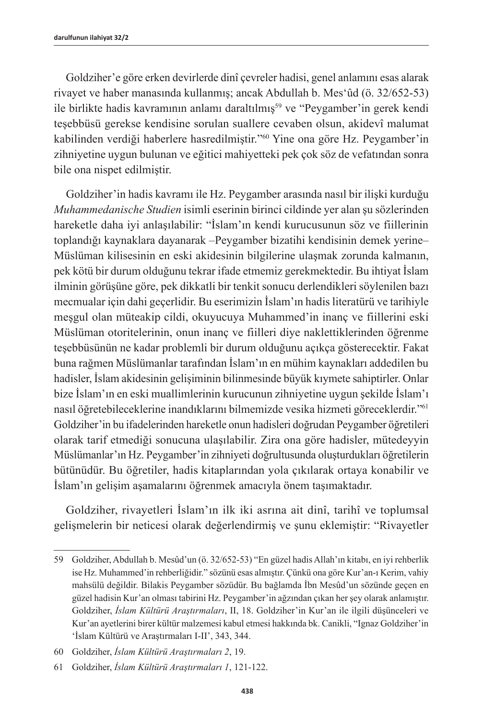Goldziher'e göre erken devirlerde dinî çevreler hadisi, genel anlamını esas alarak rivayet ve haber manasında kullanmış; ancak Abdullah b. Mes'ûd (ö. 32/652-53) ile birlikte hadis kavramının anlamı daraltılmış59 ve "Peygamber'in gerek kendi teşebbüsü gerekse kendisine sorulan suallere cevaben olsun, akidevî malumat kabilinden verdiği haberlere hasredilmiştir."60 Yine ona göre Hz. Peygamber'in zihniyetine uygun bulunan ve eğitici mahiyetteki pek çok söz de vefatından sonra bile ona nispet edilmiştir.

Goldziher'in hadis kavramı ile Hz. Peygamber arasında nasıl bir ilişki kurduğu *Muhammedanische Studien* isimli eserinin birinci cildinde yer alan şu sözlerinden hareketle daha iyi anlaşılabilir: "İslam'ın kendi kurucusunun söz ve fiillerinin toplandığı kaynaklara dayanarak –Peygamber bizatihi kendisinin demek yerine– Müslüman kilisesinin en eski akidesinin bilgilerine ulaşmak zorunda kalmanın, pek kötü bir durum olduğunu tekrar ifade etmemiz gerekmektedir. Bu ihtiyat İslam ilminin görüşüne göre, pek dikkatli bir tenkit sonucu derlendikleri söylenilen bazı mecmualar için dahi geçerlidir. Bu eserimizin İslam'ın hadis literatürü ve tarihiyle meşgul olan müteakip cildi, okuyucuya Muhammed'in inanç ve fiillerini eski Müslüman otoritelerinin, onun inanç ve fiilleri diye naklettiklerinden öğrenme teşebbüsünün ne kadar problemli bir durum olduğunu açıkça gösterecektir. Fakat buna rağmen Müslümanlar tarafından İslam'ın en mühim kaynakları addedilen bu hadisler, İslam akidesinin gelişiminin bilinmesinde büyük kıymete sahiptirler. Onlar bize İslam'ın en eski muallimlerinin kurucunun zihniyetine uygun şekilde İslam'ı nasıl öğretebileceklerine inandıklarını bilmemizde vesika hizmeti göreceklerdir."61 Goldziher'in bu ifadelerinden hareketle onun hadisleri doğrudan Peygamber öğretileri olarak tarif etmediği sonucuna ulaşılabilir. Zira ona göre hadisler, mütedeyyin Müslümanlar'ın Hz. Peygamber'in zihniyeti doğrultusunda oluşturdukları öğretilerin bütünüdür. Bu öğretiler, hadis kitaplarından yola çıkılarak ortaya konabilir ve İslam'ın gelişim aşamalarını öğrenmek amacıyla önem taşımaktadır.

Goldziher, rivayetleri İslam'ın ilk iki asrına ait dinî, tarihî ve toplumsal gelişmelerin bir neticesi olarak değerlendirmiş ve şunu eklemiştir: "Rivayetler

<sup>59</sup> Goldziher, Abdullah b. Mesûd'un (ö. 32/652-53) "En güzel hadis Allah'ın kitabı, en iyi rehberlik ise Hz. Muhammed'in rehberliğidir." sözünü esas almıştır. Çünkü ona göre Kur'an-ı Kerim, vahiy mahsülü değildir. Bilakis Peygamber sözüdür. Bu bağlamda İbn Mesûd'un sözünde geçen en güzel hadisin Kur'an olması tabirini Hz. Peygamber'in ağzından çıkan her şey olarak anlamıştır. Goldziher, *İslam Kültürü Araştırmaları*, II, 18. Goldziher'in Kur'an ile ilgili düşünceleri ve Kur'an ayetlerini birer kültür malzemesi kabul etmesi hakkında bk. Canikli, "Ignaz Goldziher'in 'İslam Kültürü ve Araştırmaları I-II', 343, 344.

<sup>60</sup> Goldziher, *İslam Kültürü Araştırmaları 2*, 19.

<sup>61</sup> Goldziher, *İslam Kültürü Araştırmaları 1*, 121-122.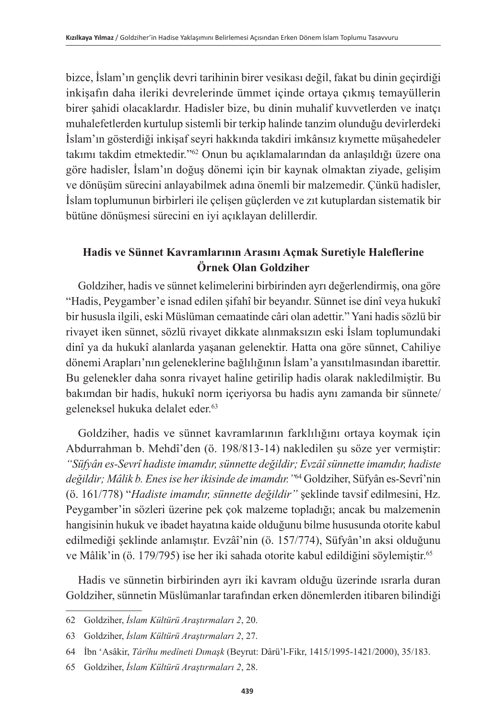bizce, İslam'ın gençlik devri tarihinin birer vesikası değil, fakat bu dinin geçirdiği inkişafın daha ileriki devrelerinde ümmet içinde ortaya çıkmış temayüllerin birer şahidi olacaklardır. Hadisler bize, bu dinin muhalif kuvvetlerden ve inatçı muhalefetlerden kurtulup sistemli bir terkip halinde tanzim olunduğu devirlerdeki İslam'ın gösterdiği inkişaf seyri hakkında takdiri imkânsız kıymette müşahedeler takımı takdim etmektedir."<sup>62</sup> Onun bu açıklamalarından da anlaşıldığı üzere ona göre hadisler, İslam'ın doğuş dönemi için bir kaynak olmaktan ziyade, gelişim ve dönüşüm sürecini anlayabilmek adına önemli bir malzemedir. Çünkü hadisler, İslam toplumunun birbirleri ile çelişen güçlerden ve zıt kutuplardan sistematik bir bütüne dönüşmesi sürecini en iyi açıklayan delillerdir.

## **Hadis ve Sünnet Kavramlarının Arasını Açmak Suretiyle Haleflerine Örnek Olan Goldziher**

Goldziher, hadis ve sünnet kelimelerini birbirinden ayrı değerlendirmiş, ona göre "Hadis, Peygamber'e isnad edilen şifahî bir beyandır. Sünnet ise dinî veya hukukî bir hususla ilgili, eski Müslüman cemaatinde câri olan adettir." Yani hadis sözlü bir rivayet iken sünnet, sözlü rivayet dikkate alınmaksızın eski İslam toplumundaki dinî ya da hukukî alanlarda yaşanan gelenektir. Hatta ona göre sünnet, Cahiliye dönemi Arapları'nın geleneklerine bağlılığının İslam'a yansıtılmasından ibarettir. Bu gelenekler daha sonra rivayet haline getirilip hadis olarak nakledilmiştir. Bu bakımdan bir hadis, hukukî norm içeriyorsa bu hadis aynı zamanda bir sünnete/ geleneksel hukuka delalet eder.<sup>63</sup>

Goldziher, hadis ve sünnet kavramlarının farklılığını ortaya koymak için Abdurrahman b. Mehdî'den (ö. 198/813-14) nakledilen şu söze yer vermiştir: *"Süfyân es-Sevrî hadiste imamdır, sünnette değildir; Evzâî sünnette imamdır, hadiste değildir; Mâlik b. Enes ise her ikisinde de imamdır."*64 Goldziher, Süfyân es-Sevrî'nin (ö. 161/778) "*Hadiste imamdır, sünnette değildir"* şeklinde tavsif edilmesini, Hz. Peygamber'in sözleri üzerine pek çok malzeme topladığı; ancak bu malzemenin hangisinin hukuk ve ibadet hayatına kaide olduğunu bilme hususunda otorite kabul edilmediği şeklinde anlamıştır. Evzâî'nin (ö. 157/774), Süfyân'ın aksi olduğunu ve Mâlik'in (ö. 179/795) ise her iki sahada otorite kabul edildiğini söylemiştir.<sup>65</sup>

Hadis ve sünnetin birbirinden ayrı iki kavram olduğu üzerinde ısrarla duran Goldziher, sünnetin Müslümanlar tarafından erken dönemlerden itibaren bilindiği

<sup>62</sup> Goldziher, *İslam Kültürü Araştırmaları 2*, 20.

<sup>63</sup> Goldziher, *İslam Kültürü Araştırmaları 2*, 27.

<sup>64</sup> İbn 'Asâkir, *Târîhu medîneti Dımaşk* (Beyrut: Dârü'l-Fikr, 1415/1995-1421/2000), 35/183.

<sup>65</sup> Goldziher, *İslam Kültürü Araştırmaları 2*, 28.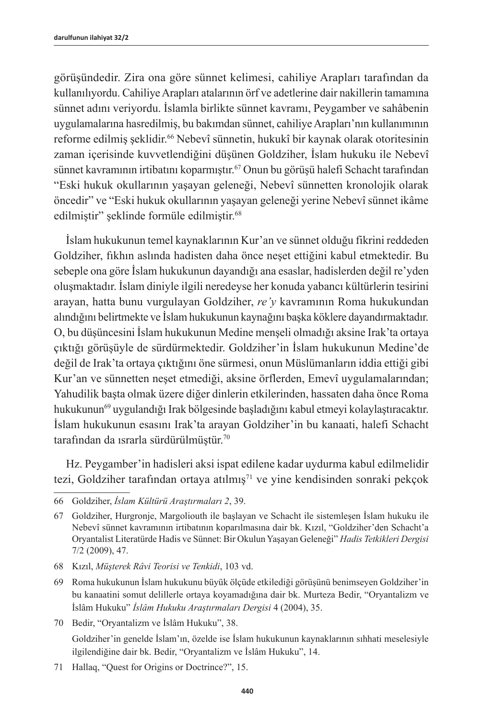görüşündedir. Zira ona göre sünnet kelimesi, cahiliye Arapları tarafından da kullanılıyordu. Cahiliye Arapları atalarının örf ve adetlerine dair nakillerin tamamına sünnet adını veriyordu. İslamla birlikte sünnet kavramı, Peygamber ve sahâbenin uygulamalarına hasredilmiş, bu bakımdan sünnet, cahiliye Arapları'nın kullanımının reforme edilmiş şeklidir.<sup>66</sup> Nebevî sünnetin, hukukî bir kaynak olarak otoritesinin zaman içerisinde kuvvetlendiğini düşünen Goldziher, İslam hukuku ile Nebevî sünnet kavramının irtibatını koparmıştır.67 Onun bu görüşü halefi Schacht tarafından "Eski hukuk okullarının yaşayan geleneği, Nebevî sünnetten kronolojik olarak öncedir" ve "Eski hukuk okullarının yaşayan geleneği yerine Nebevî sünnet ikâme edilmiştir" şeklinde formüle edilmiştir.<sup>68</sup>

İslam hukukunun temel kaynaklarının Kur'an ve sünnet olduğu fikrini reddeden Goldziher, fıkhın aslında hadisten daha önce neşet ettiğini kabul etmektedir. Bu sebeple ona göre İslam hukukunun dayandığı ana esaslar, hadislerden değil re'yden oluşmaktadır. İslam diniyle ilgili neredeyse her konuda yabancı kültürlerin tesirini arayan, hatta bunu vurgulayan Goldziher, *re'y* kavramının Roma hukukundan alındığını belirtmekte ve İslam hukukunun kaynağını başka köklere dayandırmaktadır. O, bu düşüncesini İslam hukukunun Medine menşeli olmadığı aksine Irak'ta ortaya çıktığı görüşüyle de sürdürmektedir. Goldziher'in İslam hukukunun Medine'de değil de Irak'ta ortaya çıktığını öne sürmesi, onun Müslümanların iddia ettiği gibi Kur'an ve sünnetten neşet etmediği, aksine örflerden, Emevî uygulamalarından; Yahudilik başta olmak üzere diğer dinlerin etkilerinden, hassaten daha önce Roma hukukunun<sup>69</sup> uygulandığı Irak bölgesinde başladığını kabul etmeyi kolaylaştıracaktır. İslam hukukunun esasını Irak'ta arayan Goldziher'in bu kanaati, halefi Schacht tarafından da ısrarla sürdürülmüştür.<sup>70</sup>

Hz. Peygamber'in hadisleri aksi ispat edilene kadar uydurma kabul edilmelidir tezi, Goldziher tarafından ortaya atılmış<sup>71</sup> ve yine kendisinden sonraki pekçok

70 Bedir, "Oryantalizm ve İslâm Hukuku", 38. Goldziher'in genelde İslam'ın, özelde ise İslam hukukunun kaynaklarının sıhhati meselesiyle ilgilendiğine dair bk. Bedir, "Oryantalizm ve İslâm Hukuku", 14.

<sup>66</sup> Goldziher, *İslam Kültürü Araştırmaları 2*, 39.

<sup>67</sup> Goldziher, Hurgronje, Margoliouth ile başlayan ve Schacht ile sistemleşen İslam hukuku ile Nebevî sünnet kavramının irtibatının koparılmasına dair bk. Kızıl, "Goldziher'den Schacht'a Oryantalist Literatürde Hadis ve Sünnet: Bir Okulun Yaşayan Geleneği" *Hadis Tetkikleri Dergisi* 7/2 (2009), 47.

<sup>68</sup> Kızıl, *Müşterek Râvi Teorisi ve Tenkidi*, 103 vd.

<sup>69</sup> Roma hukukunun İslam hukukunu büyük ölçüde etkilediği görüşünü benimseyen Goldziher'in bu kanaatini somut delillerle ortaya koyamadığına dair bk. Murteza Bedir, "Oryantalizm ve İslâm Hukuku" *İslâm Hukuku Araştırmaları Dergisi* 4 (2004), 35.

<sup>71</sup> Hallaq, "Quest for Origins or Doctrince?", 15.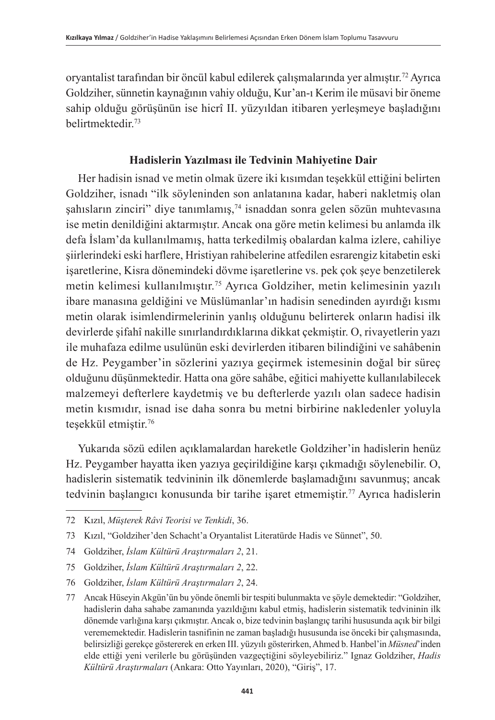oryantalist tarafından bir öncül kabul edilerek çalışmalarında yer almıştır.72 Ayrıca Goldziher, sünnetin kaynağının vahiy olduğu, Kur'an-ı Kerim ile müsavi bir öneme sahip olduğu görüşünün ise hicrî II. yüzyıldan itibaren yerleşmeye başladığını belirtmektedir<sup>73</sup>

#### **Hadislerin Yazılması ile Tedvinin Mahiyetine Dair**

Her hadisin isnad ve metin olmak üzere iki kısımdan teşekkül ettiğini belirten Goldziher, isnadı "ilk söyleninden son anlatanına kadar, haberi nakletmiş olan  $sahısların zinciri" diye tanımlamış<sub>1</sub><sup>74</sup> isnaddan sonra gelen sözün muhtevasına$ ise metin denildiğini aktarmıştır. Ancak ona göre metin kelimesi bu anlamda ilk defa İslam'da kullanılmamış, hatta terkedilmiş obalardan kalma izlere, cahiliye şiirlerindeki eski harflere, Hristiyan rahibelerine atfedilen esrarengiz kitabetin eski işaretlerine, Kisra dönemindeki dövme işaretlerine vs. pek çok şeye benzetilerek metin kelimesi kullanılmıştır.75 Ayrıca Goldziher, metin kelimesinin yazılı ibare manasına geldiğini ve Müslümanlar'ın hadisin senedinden ayırdığı kısmı metin olarak isimlendirmelerinin yanlış olduğunu belirterek onların hadisi ilk devirlerde şifahî nakille sınırlandırdıklarına dikkat çekmiştir. O, rivayetlerin yazı ile muhafaza edilme usulünün eski devirlerden itibaren bilindiğini ve sahâbenin de Hz. Peygamber'in sözlerini yazıya geçirmek istemesinin doğal bir süreç olduğunu düşünmektedir. Hatta ona göre sahâbe, eğitici mahiyette kullanılabilecek malzemeyi defterlere kaydetmiş ve bu defterlerde yazılı olan sadece hadisin metin kısmıdır, isnad ise daha sonra bu metni birbirine nakledenler yoluyla teşekkül etmiştir.76

Yukarıda sözü edilen açıklamalardan hareketle Goldziher'in hadislerin henüz Hz. Peygamber hayatta iken yazıya geçirildiğine karşı çıkmadığı söylenebilir. O, hadislerin sistematik tedvininin ilk dönemlerde başlamadığını savunmuş; ancak tedvinin başlangıcı konusunda bir tarihe işaret etmemiştir.<sup>77</sup> Ayrıca hadislerin

<sup>72</sup> Kızıl, *Müşterek Râvi Teorisi ve Tenkidi*, 36.

<sup>73</sup> Kızıl, "Goldziher'den Schacht'a Oryantalist Literatürde Hadis ve Sünnet", 50.

<sup>74</sup> Goldziher, *İslam Kültürü Araştırmaları 2*, 21.

<sup>75</sup> Goldziher, *İslam Kültürü Araştırmaları 2*, 22.

<sup>76</sup> Goldziher, *İslam Kültürü Araştırmaları 2*, 24.

<sup>77</sup> Ancak Hüseyin Akgün'ün bu yönde önemli bir tespiti bulunmakta ve şöyle demektedir: "Goldziher, hadislerin daha sahabe zamanında yazıldığını kabul etmiş, hadislerin sistematik tedvininin ilk dönemde varlığına karşı çıkmıştır. Ancak o, bize tedvinin başlangıç tarihi hususunda açık bir bilgi verememektedir. Hadislerin tasnifinin ne zaman başladığı hususunda ise önceki bir çalışmasında, belirsizliği gerekçe göstererek en erken III. yüzyılı gösterirken, Ahmed b. Hanbel'in *Müsned*'inden elde ettiği yeni verilerle bu görüşünden vazgeçtiğini söyleyebiliriz." Ignaz Goldziher, *Hadis Kültürü Araştırmaları* (Ankara: Otto Yayınları, 2020), "Giriş", 17.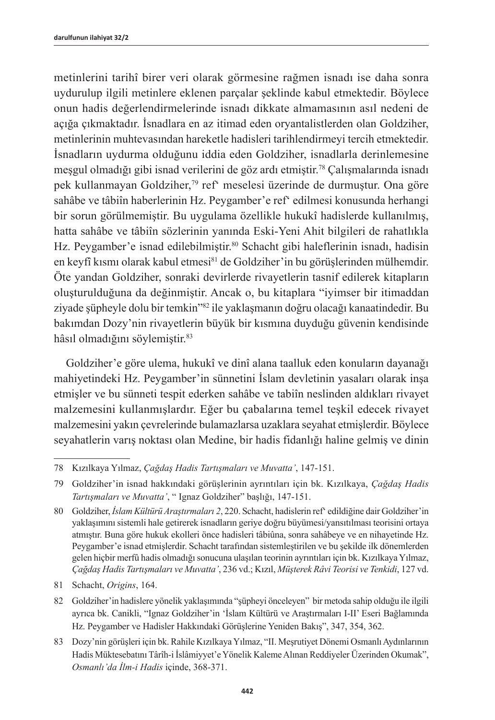metinlerini tarihî birer veri olarak görmesine rağmen isnadı ise daha sonra uydurulup ilgili metinlere eklenen parçalar şeklinde kabul etmektedir. Böylece onun hadis değerlendirmelerinde isnadı dikkate almamasının asıl nedeni de açığa çıkmaktadır. İsnadlara en az itimad eden oryantalistlerden olan Goldziher, metinlerinin muhtevasından hareketle hadisleri tarihlendirmeyi tercih etmektedir. İsnadların uydurma olduğunu iddia eden Goldziher, isnadlarla derinlemesine meşgul olmadığı gibi isnad verilerini de göz ardı etmiştir.78 Çalışmalarında isnadı pek kullanmayan Goldziher,79 ref' meselesi üzerinde de durmuştur. Ona göre sahâbe ve tâbiîn haberlerinin Hz. Peygamber'e ref' edilmesi konusunda herhangi bir sorun görülmemiştir. Bu uygulama özellikle hukukî hadislerde kullanılmış, hatta sahâbe ve tâbiîn sözlerinin yanında Eski-Yeni Ahit bilgileri de rahatlıkla Hz. Peygamber'e isnad edilebilmiştir.<sup>80</sup> Schacht gibi haleflerinin isnadı, hadisin en keyfî kısmı olarak kabul etmesi<sup>81</sup> de Goldziher'in bu görüşlerinden mülhemdir. Öte yandan Goldziher, sonraki devirlerde rivayetlerin tasnif edilerek kitapların oluşturulduğuna da değinmiştir. Ancak o, bu kitaplara "iyimser bir itimaddan ziyade süpheyle dolu bir temkin<sup>382</sup> ile yaklaşmanın doğru olacağı kanaatindedir. Bu bakımdan Dozy'nin rivayetlerin büyük bir kısmına duyduğu güvenin kendisinde hâsıl olmadığını söylemiştir.<sup>83</sup>

Goldziher'e göre ulema, hukukî ve dinî alana taalluk eden konuların dayanağı mahiyetindeki Hz. Peygamber'in sünnetini İslam devletinin yasaları olarak inşa etmişler ve bu sünneti tespit ederken sahâbe ve tabiîn neslinden aldıkları rivayet malzemesini kullanmışlardır. Eğer bu çabalarına temel teşkil edecek rivayet malzemesini yakın çevrelerinde bulamazlarsa uzaklara seyahat etmişlerdir. Böylece seyahatlerin varış noktası olan Medine, bir hadis fidanlığı haline gelmiş ve dinin

<sup>78</sup> Kızılkaya Yılmaz, *Çağdaş Hadis Tartışmaları ve Muvatta'*, 147-151.

<sup>79</sup> Goldziher'in isnad hakkındaki görüşlerinin ayrıntıları için bk. Kızılkaya, *Çağdaş Hadis Tartışmaları ve Muvatta'*, " Ignaz Goldziher" başlığı, 147-151.

<sup>80</sup> Goldziher, *İslam Kültürü Araştırmaları 2*, 220. Schacht, hadislerin ref' edildiğine dair Goldziher'in yaklaşımını sistemli hale getirerek isnadların geriye doğru büyümesi/yansıtılması teorisini ortaya atmıştır. Buna göre hukuk ekolleri önce hadisleri tâbiûna, sonra sahâbeye ve en nihayetinde Hz. Peygamber'e isnad etmişlerdir. Schacht tarafından sistemleştirilen ve bu şekilde ilk dönemlerden gelen hiçbir merfû hadis olmadığı sonucuna ulaşılan teorinin ayrıntıları için bk. Kızılkaya Yılmaz, *Çağdaş Hadis Tartışmaları ve Muvatta'*, 236 vd.; Kızıl, *Müşterek Râvi Teorisi ve Tenkidi*, 127 vd.

<sup>81</sup> Schacht, *Origins*, 164.

<sup>82</sup> Goldziher'in hadislere yönelik yaklaşımında "şüpheyi önceleyen" bir metoda sahip olduğu ile ilgili ayrıca bk. Canikli, "Ignaz Goldziher'in 'İslam Kültürü ve Araştırmaları I-II' Eseri Bağlamında Hz. Peygamber ve Hadisler Hakkındaki Görüşlerine Yeniden Bakış", 347, 354, 362.

<sup>83</sup> Dozy'nin görüşleri için bk. Rahile Kızılkaya Yılmaz, "II. Meşrutiyet Dönemi Osmanlı Aydınlarının Hadis Müktesebatını Târîh-i İslâmiyyet'e Yönelik Kaleme Alınan Reddiyeler Üzerinden Okumak", *Osmanlı'da İlm-i Hadis* içinde, 368-371.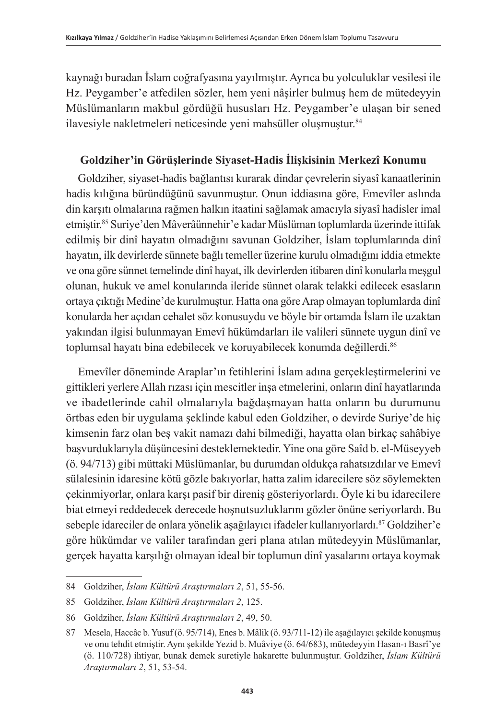kaynağı buradan İslam coğrafyasına yayılmıştır. Ayrıca bu yolculuklar vesilesi ile Hz. Peygamber'e atfedilen sözler, hem yeni nâşirler bulmuş hem de mütedeyyin Müslümanların makbul gördüğü hususları Hz. Peygamber'e ulaşan bir sened ilavesiyle nakletmeleri neticesinde yeni mahsüller oluşmuştur.<sup>84</sup>

#### **Goldziher'in Görüşlerinde Siyaset-Hadis İlişkisinin Merkezî Konumu**

Goldziher, siyaset-hadis bağlantısı kurarak dindar çevrelerin siyasî kanaatlerinin hadis kılığına büründüğünü savunmuştur. Onun iddiasına göre, Emevîler aslında din karşıtı olmalarına rağmen halkın itaatini sağlamak amacıyla siyasî hadisler imal etmiştir.<sup>85</sup> Suriye'den Mâverâünnehir'e kadar Müslüman toplumlarda üzerinde ittifak edilmiş bir dinî hayatın olmadığını savunan Goldziher, İslam toplumlarında dinî hayatın, ilk devirlerde sünnete bağlı temeller üzerine kurulu olmadığını iddia etmekte ve ona göre sünnet temelinde dinî hayat, ilk devirlerden itibaren dinî konularla meşgul olunan, hukuk ve amel konularında ileride sünnet olarak telakki edilecek esasların ortaya çıktığı Medine'de kurulmuştur. Hatta ona göre Arap olmayan toplumlarda dinî konularda her açıdan cehalet söz konusuydu ve böyle bir ortamda İslam ile uzaktan yakından ilgisi bulunmayan Emevî hükümdarları ile valileri sünnete uygun dinî ve toplumsal hayatı bina edebilecek ve koruyabilecek konumda değillerdi.<sup>86</sup>

Emevîler döneminde Araplar'ın fetihlerini İslam adına gerçekleştirmelerini ve gittikleri yerlere Allah rızası için mescitler inşa etmelerini, onların dinî hayatlarında ve ibadetlerinde cahil olmalarıyla bağdaşmayan hatta onların bu durumunu örtbas eden bir uygulama şeklinde kabul eden Goldziher, o devirde Suriye'de hiç kimsenin farz olan beş vakit namazı dahi bilmediği, hayatta olan birkaç sahâbiye başvurduklarıyla düşüncesini desteklemektedir. Yine ona göre Saîd b. el-Müseyyeb (ö. 94/713) gibi müttaki Müslümanlar, bu durumdan oldukça rahatsızdılar ve Emevî sülalesinin idaresine kötü gözle bakıyorlar, hatta zalim idarecilere söz söylemekten çekinmiyorlar, onlara karşı pasif bir direniş gösteriyorlardı. Öyle ki bu idarecilere biat etmeyi reddedecek derecede hoşnutsuzluklarını gözler önüne seriyorlardı. Bu sebeple idareciler de onlara yönelik aşağılayıcı ifadeler kullanıyorlardı.87 Goldziher'e göre hükümdar ve valiler tarafından geri plana atılan mütedeyyin Müslümanlar, gerçek hayatta karşılığı olmayan ideal bir toplumun dinî yasalarını ortaya koymak

<sup>84</sup> Goldziher, *İslam Kültürü Araştırmaları 2*, 51, 55-56.

<sup>85</sup> Goldziher, *İslam Kültürü Araştırmaları 2*, 125.

<sup>86</sup> Goldziher, *İslam Kültürü Araştırmaları 2*, 49, 50.

<sup>87</sup> Mesela, Haccâc b. Yusuf (ö. 95/714), Enes b. Mâlik (ö. 93/711-12) ile aşağılayıcı şekilde konuşmuş ve onu tehdit etmiştir. Aynı şekilde Yezid b. Muâviye (ö. 64/683), mütedeyyin Hasan-ı Basrî'ye (ö. 110/728) ihtiyar, bunak demek suretiyle hakarette bulunmuştur. Goldziher, *İslam Kültürü Araştırmaları 2*, 51, 53-54.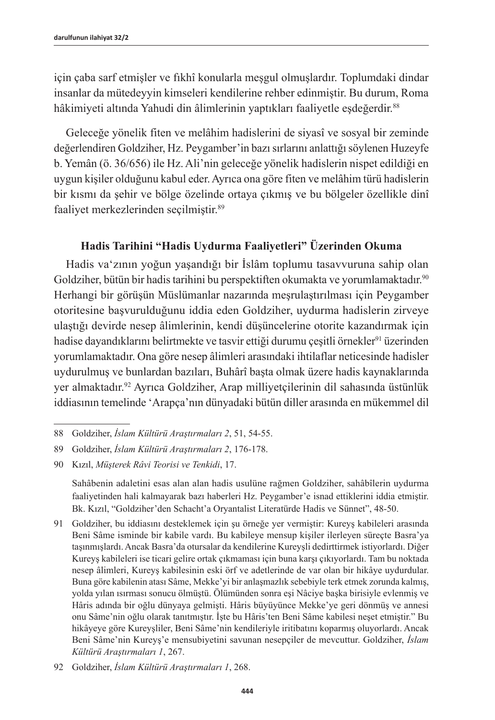için çaba sarf etmişler ve fıkhî konularla meşgul olmuşlardır. Toplumdaki dindar insanlar da mütedeyyin kimseleri kendilerine rehber edinmiştir. Bu durum, Roma hâkimiyeti altında Yahudi din âlimlerinin yaptıkları faaliyetle eşdeğerdir.<sup>88</sup>

Geleceğe yönelik fiten ve melâhim hadislerini de siyasî ve sosyal bir zeminde değerlendiren Goldziher, Hz. Peygamber'in bazı sırlarını anlattığı söylenen Huzeyfe b. Yemân (ö. 36/656) ile Hz. Ali'nin geleceğe yönelik hadislerin nispet edildiği en uygun kişiler olduğunu kabul eder. Ayrıca ona göre fiten ve melâhim türü hadislerin bir kısmı da şehir ve bölge özelinde ortaya çıkmış ve bu bölgeler özellikle dinî faaliyet merkezlerinden seçilmiştir.<sup>89</sup>

#### **Hadis Tarihini "Hadis Uydurma Faaliyetleri" Üzerinden Okuma**

Hadis va'zının yoğun yaşandığı bir İslâm toplumu tasavvuruna sahip olan Goldziher, bütün bir hadis tarihini bu perspektiften okumakta ve yorumlamaktadır.<sup>90</sup> Herhangi bir görüşün Müslümanlar nazarında meşrulaştırılması için Peygamber otoritesine başvurulduğunu iddia eden Goldziher, uydurma hadislerin zirveye ulaştığı devirde nesep âlimlerinin, kendi düşüncelerine otorite kazandırmak için hadise dayandıklarını belirtmekte ve tasvir ettiği durumu çeşitli örnekler<sup>91</sup> üzerinden yorumlamaktadır. Ona göre nesep âlimleri arasındaki ihtilaflar neticesinde hadisler uydurulmuş ve bunlardan bazıları, Buhârî başta olmak üzere hadis kaynaklarında yer almaktadır.<sup>92</sup> Ayrıca Goldziher, Arap milliyetçilerinin dil sahasında üstünlük iddiasının temelinde 'Arapça'nın dünyadaki bütün diller arasında en mükemmel dil

Sahâbenin adaletini esas alan alan hadis usulüne rağmen Goldziher, sahâbîlerin uydurma faaliyetinden hali kalmayarak bazı haberleri Hz. Peygamber'e isnad ettiklerini iddia etmiştir. Bk. Kızıl, "Goldziher'den Schacht'a Oryantalist Literatürde Hadis ve Sünnet", 48-50.

<sup>88</sup> Goldziher, *İslam Kültürü Araştırmaları 2*, 51, 54-55.

<sup>89</sup> Goldziher, *İslam Kültürü Araştırmaları 2*, 176-178.

<sup>90</sup> Kızıl, *Müşterek Râvi Teorisi ve Tenkidi*, 17.

<sup>91</sup> Goldziher, bu iddiasını desteklemek için şu örneğe yer vermiştir: Kureyş kabileleri arasında Beni Sâme isminde bir kabile vardı. Bu kabileye mensup kişiler ilerleyen süreçte Basra'ya taşınmışlardı. Ancak Basra'da otursalar da kendilerine Kureyşli dedirttirmek istiyorlardı. Diğer Kureyş kabileleri ise ticari gelire ortak çıkmaması için buna karşı çıkıyorlardı. Tam bu noktada nesep âlimleri, Kureyş kabilesinin eski örf ve adetlerinde de var olan bir hikâye uydurdular. Buna göre kabilenin atası Sâme, Mekke'yi bir anlaşmazlık sebebiyle terk etmek zorunda kalmış, yolda yılan ısırması sonucu ölmüştü. Ölümünden sonra eşi Nâciye başka birisiyle evlenmiş ve Hâris adında bir oğlu dünyaya gelmişti. Hâris büyüyünce Mekke'ye geri dönmüş ve annesi onu Sâme'nin oğlu olarak tanıtmıştır. İşte bu Hâris'ten Beni Sâme kabilesi neşet etmiştir." Bu hikâyeye göre Kureyşliler, Beni Sâme'nin kendileriyle iritibatını koparmış oluyorlardı. Ancak Beni Sâme'nin Kureyş'e mensubiyetini savunan nesepçiler de mevcuttur. Goldziher, *İslam Kültürü Araştırmaları 1*, 267.

<sup>92</sup> Goldziher, *İslam Kültürü Araştırmaları 1*, 268.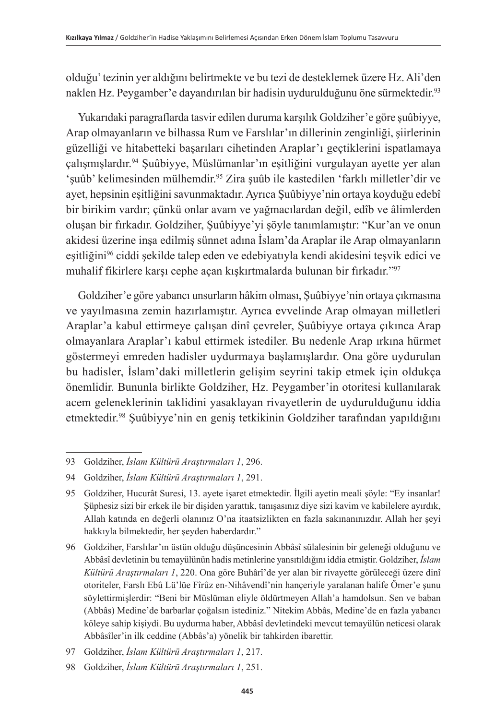olduğu' tezinin yer aldığını belirtmekte ve bu tezi de desteklemek üzere Hz. Ali'den naklen Hz. Peygamber'e dayandırılan bir hadisin uydurulduğunu öne sürmektedir.<sup>93</sup>

Yukarıdaki paragraflarda tasvir edilen duruma karşılık Goldziher'e göre şuûbiyye, Arap olmayanların ve bilhassa Rum ve Farslılar'ın dillerinin zenginliği, şiirlerinin güzelliği ve hitabetteki başarıları cihetinden Araplar'ı geçtiklerini ispatlamaya çalışmışlardır.94 Şuûbiyye, Müslümanlar'ın eşitliğini vurgulayan ayette yer alan 'şuûb' kelimesinden mülhemdir.<sup>95</sup> Zira şuûb ile kastedilen 'farklı milletler'dir ve ayet, hepsinin eşitliğini savunmaktadır. Ayrıca Şuûbiyye'nin ortaya koyduğu edebî bir birikim vardır; çünkü onlar avam ve yağmacılardan değil, edîb ve âlimlerden oluşan bir fırkadır. Goldziher, Şuûbiyye'yi şöyle tanımlamıştır: "Kur'an ve onun akidesi üzerine inşa edilmiş sünnet adına İslam'da Araplar ile Arap olmayanların eşitliğini<sup>96</sup> ciddi şekilde talep eden ve edebiyatıyla kendi akidesini teşvik edici ve muhalif fikirlere karşı cephe açan kışkırtmalarda bulunan bir fırkadır."97

Goldziher'e göre yabancı unsurların hâkim olması, Şuûbiyye'nin ortaya çıkmasına ve yayılmasına zemin hazırlamıştır. Ayrıca evvelinde Arap olmayan milletleri Araplar'a kabul ettirmeye çalışan dinî çevreler, Şuûbiyye ortaya çıkınca Arap olmayanlara Araplar'ı kabul ettirmek istediler. Bu nedenle Arap ırkına hürmet göstermeyi emreden hadisler uydurmaya başlamışlardır. Ona göre uydurulan bu hadisler, İslam'daki milletlerin gelişim seyrini takip etmek için oldukça önemlidir. Bununla birlikte Goldziher, Hz. Peygamber'in otoritesi kullanılarak acem geleneklerinin taklidini yasaklayan rivayetlerin de uydurulduğunu iddia etmektedir.98 Şuûbiyye'nin en geniş tetkikinin Goldziher tarafından yapıldığını

<sup>93</sup> Goldziher, *İslam Kültürü Araştırmaları 1*, 296.

<sup>94</sup> Goldziher, *İslam Kültürü Araştırmaları 1*, 291.

<sup>95</sup> Goldziher, Hucurât Suresi, 13. ayete işaret etmektedir. İlgili ayetin meali şöyle: "Ey insanlar! Şüphesiz sizi bir erkek ile bir dişiden yarattık, tanışasınız diye sizi kavim ve kabilelere ayırdık, Allah katında en değerli olanınız O'na itaatsizlikten en fazla sakınanınızdır. Allah her şeyi hakkıyla bilmektedir, her şeyden haberdardır."

<sup>96</sup> Goldziher, Farslılar'ın üstün olduğu düşüncesinin Abbâsî sülalesinin bir geleneği olduğunu ve Abbâsî devletinin bu temayülünün hadis metinlerine yansıtıldığını iddia etmiştir. Goldziher, *İslam Kültürü Araştırmaları 1*, 220. Ona göre Buhârî'de yer alan bir rivayette görüleceği üzere dinî otoriteler, Farslı Ebû Lü'lüe Fîrûz en-Nihâvendî'nin hançeriyle yaralanan halife Ömer'e şunu söylettirmişlerdir: "Beni bir Müslüman eliyle öldürtmeyen Allah'a hamdolsun. Sen ve baban (Abbâs) Medine'de barbarlar çoğalsın istediniz." Nitekim Abbâs, Medine'de en fazla yabancı köleye sahip kişiydi. Bu uydurma haber, Abbâsî devletindeki mevcut temayülün neticesi olarak Abbâsîler'in ilk ceddine (Abbâs'a) yönelik bir tahkirden ibarettir.

<sup>97</sup> Goldziher, *İslam Kültürü Araştırmaları 1*, 217.

<sup>98</sup> Goldziher, *İslam Kültürü Araştırmaları 1*, 251.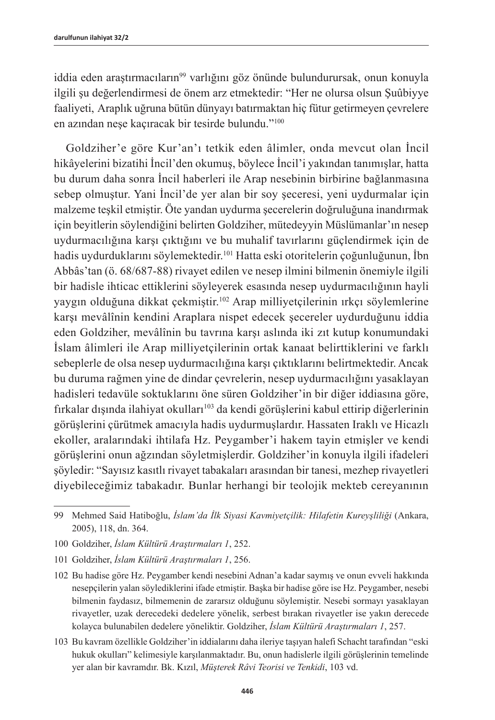iddia eden araştırmacıların<sup>99</sup> varlığını göz önünde bulundurursak, onun konuyla ilgili şu değerlendirmesi de önem arz etmektedir: "Her ne olursa olsun Şuûbiyye faaliyeti, Araplık uğruna bütün dünyayı batırmaktan hiç fütur getirmeyen çevrelere en azından neşe kaçıracak bir tesirde bulundu."<sup>100</sup>

Goldziher'e göre Kur'an'ı tetkik eden âlimler, onda mevcut olan İncil hikâyelerini bizatihi İncil'den okumuş, böylece İncil'i yakından tanımışlar, hatta bu durum daha sonra İncil haberleri ile Arap nesebinin birbirine bağlanmasına sebep olmuştur. Yani İncil'de yer alan bir soy şeceresi, yeni uydurmalar için malzeme teşkil etmiştir. Öte yandan uydurma şecerelerin doğruluğuna inandırmak için beyitlerin söylendiğini belirten Goldziher, mütedeyyin Müslümanlar'ın nesep uydurmacılığına karşı çıktığını ve bu muhalif tavırlarını güçlendirmek için de hadis uydurduklarını söylemektedir.<sup>101</sup> Hatta eski otoritelerin çoğunluğunun, İbn Abbâs'tan (ö. 68/687-88) rivayet edilen ve nesep ilmini bilmenin önemiyle ilgili bir hadisle ihticac ettiklerini söyleyerek esasında nesep uydurmacılığının hayli yaygın olduğuna dikkat çekmiştir.<sup>102</sup> Arap milliyetçilerinin ırkçı söylemlerine karşı mevâlînin kendini Araplara nispet edecek şecereler uydurduğunu iddia eden Goldziher, mevâlînin bu tavrına karşı aslında iki zıt kutup konumundaki İslam âlimleri ile Arap milliyetçilerinin ortak kanaat belirttiklerini ve farklı sebeplerle de olsa nesep uydurmacılığına karşı çıktıklarını belirtmektedir. Ancak bu duruma rağmen yine de dindar çevrelerin, nesep uydurmacılığını yasaklayan hadisleri tedavüle soktuklarını öne süren Goldziher'in bir diğer iddiasına göre, fırkalar dışında ilahiyat okulları<sup>103</sup> da kendi görüşlerini kabul ettirip diğerlerinin görüşlerini çürütmek amacıyla hadis uydurmuşlardır. Hassaten Iraklı ve Hicazlı ekoller, aralarındaki ihtilafa Hz. Peygamber'i hakem tayin etmişler ve kendi görüşlerini onun ağzından söyletmişlerdir. Goldziher'in konuyla ilgili ifadeleri şöyledir: "Sayısız kasıtlı rivayet tabakaları arasından bir tanesi, mezhep rivayetleri diyebileceğimiz tabakadır. Bunlar herhangi bir teolojik mekteb cereyanının

<sup>99</sup> Mehmed Said Hatiboğlu, *İslam'da İlk Siyasi Kavmiyetçilik: Hilafetin Kureyşliliği* (Ankara, 2005), 118, dn. 364.

<sup>100</sup> Goldziher, *İslam Kültürü Araştırmaları 1*, 252.

<sup>101</sup> Goldziher, *İslam Kültürü Araştırmaları 1*, 256.

<sup>102</sup> Bu hadise göre Hz. Peygamber kendi nesebini Adnan'a kadar saymış ve onun evveli hakkında nesepçilerin yalan söylediklerini ifade etmiştir. Başka bir hadise göre ise Hz. Peygamber, nesebi bilmenin faydasız, bilmemenin de zararsız olduğunu söylemiştir. Nesebi sormayı yasaklayan rivayetler, uzak derecedeki dedelere yönelik, serbest bırakan rivayetler ise yakın derecede kolayca bulunabilen dedelere yöneliktir. Goldziher, *İslam Kültürü Araştırmaları 1*, 257.

<sup>103</sup> Bu kavram özellikle Goldziher'in iddialarını daha ileriye taşıyan halefi Schacht tarafından "eski hukuk okulları" kelimesiyle karşılanmaktadır. Bu, onun hadislerle ilgili görüşlerinin temelinde yer alan bir kavramdır. Bk. Kızıl, *Müşterek Râvi Teorisi ve Tenkidi*, 103 vd.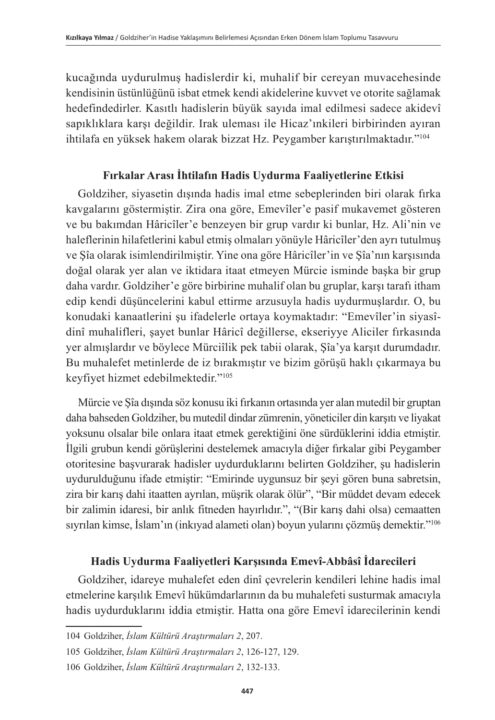kucağında uydurulmuş hadislerdir ki, muhalif bir cereyan muvacehesinde kendisinin üstünlüğünü isbat etmek kendi akidelerine kuvvet ve otorite sağlamak hedefindedirler. Kasıtlı hadislerin büyük sayıda imal edilmesi sadece akidevî sapıklıklara karşı değildir. Irak uleması ile Hicaz'ınkileri birbirinden ayıran ihtilafa en yüksek hakem olarak bizzat Hz. Peygamber karıştırılmaktadır."104

#### **Fırkalar Arası İhtilafın Hadis Uydurma Faaliyetlerine Etkisi**

Goldziher, siyasetin dışında hadis imal etme sebeplerinden biri olarak fırka kavgalarını göstermiştir. Zira ona göre, Emevîler'e pasif mukavemet gösteren ve bu bakımdan Hâricîler'e benzeyen bir grup vardır ki bunlar, Hz. Ali'nin ve haleflerinin hilafetlerini kabul etmiş olmaları yönüyle Hâricîler'den ayrı tutulmuş ve Şîa olarak isimlendirilmiştir. Yine ona göre Hâricîler'in ve Şîa'nın karşısında doğal olarak yer alan ve iktidara itaat etmeyen Mürcie isminde başka bir grup daha vardır. Goldziher'e göre birbirine muhalif olan bu gruplar, karşı tarafı itham edip kendi düşüncelerini kabul ettirme arzusuyla hadis uydurmuşlardır. O, bu konudaki kanaatlerini şu ifadelerle ortaya koymaktadır: "Emevîler'in siyasîdinî muhalifleri, şayet bunlar Hâricî değillerse, ekseriyye Aliciler fırkasında yer almışlardır ve böylece Mürciîlik pek tabii olarak, Şîa'ya karşıt durumdadır. Bu muhalefet metinlerde de iz bırakmıştır ve bizim görüşü haklı çıkarmaya bu keyfiyet hizmet edebilmektedir."105

Mürcie ve Şîa dışında söz konusu iki fırkanın ortasında yer alan mutedil bir gruptan daha bahseden Goldziher, bu mutedil dindar zümrenin, yöneticiler din karşıtı ve liyakat yoksunu olsalar bile onlara itaat etmek gerektiğini öne sürdüklerini iddia etmiştir. İlgili grubun kendi görüşlerini destelemek amacıyla diğer fırkalar gibi Peygamber otoritesine başvurarak hadisler uydurduklarını belirten Goldziher, şu hadislerin uydurulduğunu ifade etmiştir: "Emirinde uygunsuz bir şeyi gören buna sabretsin, zira bir karış dahi itaatten ayrılan, müşrik olarak ölür", "Bir müddet devam edecek bir zalimin idaresi, bir anlık fitneden hayırlıdır.", "(Bir karış dahi olsa) cemaatten sıyrılan kimse, İslam'ın (inkıyad alameti olan) boyun yularını çözmüş demektir."106

## **Hadis Uydurma Faaliyetleri Karşısında Emevî-Abbâsî İdarecileri**

Goldziher, idareye muhalefet eden dinî çevrelerin kendileri lehine hadis imal etmelerine karşılık Emevî hükümdarlarının da bu muhalefeti susturmak amacıyla hadis uydurduklarını iddia etmiştir. Hatta ona göre Emevî idarecilerinin kendi

<sup>104</sup> Goldziher, *İslam Kültürü Araştırmaları 2*, 207.

<sup>105</sup> Goldziher, *İslam Kültürü Araştırmaları 2*, 126-127, 129.

<sup>106</sup> Goldziher, *İslam Kültürü Araştırmaları 2*, 132-133.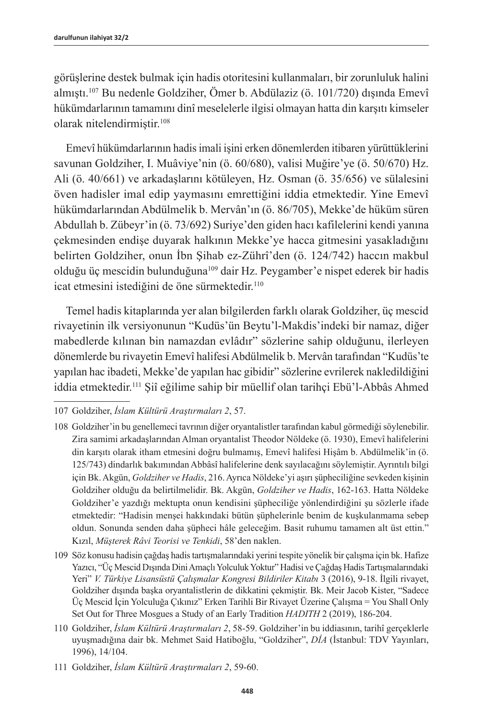görüşlerine destek bulmak için hadis otoritesini kullanmaları, bir zorunluluk halini almıştı.107 Bu nedenle Goldziher, Ömer b. Abdülaziz (ö. 101/720) dışında Emevî hükümdarlarının tamamını dinî meselelerle ilgisi olmayan hatta din karşıtı kimseler olarak nitelendirmiştir.<sup>108</sup>

Emevî hükümdarlarının hadis imali işini erken dönemlerden itibaren yürüttüklerini savunan Goldziher, I. Muâviye'nin (ö. 60/680), valisi Muğire'ye (ö. 50/670) Hz. Ali (ö. 40/661) ve arkadaşlarını kötüleyen, Hz. Osman (ö. 35/656) ve sülalesini öven hadisler imal edip yaymasını emrettiğini iddia etmektedir. Yine Emevî hükümdarlarından Abdülmelik b. Mervân'ın (ö. 86/705), Mekke'de hüküm süren Abdullah b. Zübeyr'in (ö. 73/692) Suriye'den giden hacı kafilelerini kendi yanına çekmesinden endişe duyarak halkının Mekke'ye hacca gitmesini yasakladığını belirten Goldziher, onun İbn Şihab ez-Zührî'den (ö. 124/742) haccın makbul olduğu üç mescidin bulunduğuna109 dair Hz. Peygamber'e nispet ederek bir hadis icat etmesini istediğini de öne sürmektedir.<sup>110</sup>

Temel hadis kitaplarında yer alan bilgilerden farklı olarak Goldziher, üç mescid rivayetinin ilk versiyonunun "Kudüs'ün Beytu'l-Makdis'indeki bir namaz, diğer mabedlerde kılınan bin namazdan evlâdır" sözlerine sahip olduğunu, ilerleyen dönemlerde bu rivayetin Emevî halifesi Abdülmelik b. Mervân tarafından "Kudüs'te yapılan hac ibadeti, Mekke'de yapılan hac gibidir" sözlerine evrilerek nakledildiğini iddia etmektedir.111 Şiî eğilime sahip bir müellif olan tarihçi Ebü'l-Abbâs Ahmed

<sup>107</sup> Goldziher, *İslam Kültürü Araştırmaları 2*, 57.

<sup>108</sup> Goldziher'in bu genellemeci tavrının diğer oryantalistler tarafından kabul görmediği söylenebilir. Zira samimi arkadaşlarından Alman oryantalist Theodor Nöldeke (ö. 1930), Emevî halifelerini din karşıtı olarak itham etmesini doğru bulmamış, Emevî halifesi Hişâm b. Abdülmelik'in (ö. 125/743) dindarlık bakımından Abbâsî halifelerine denk sayılacağını söylemiştir. Ayrıntılı bilgi için Bk. Akgün, *Goldziher ve Hadis*, 216. Ayrıca Nöldeke'yi aşırı şüpheciliğine sevkeden kişinin Goldziher olduğu da belirtilmelidir. Bk. Akgün, *Goldziher ve Hadis*, 162-163. Hatta Nöldeke Goldziher'e yazdığı mektupta onun kendisini şüpheciliğe yönlendirdiğini şu sözlerle ifade etmektedir: "Hadisin menşei hakkındaki bütün şüphelerinle benim de kuşkulanmama sebep oldun. Sonunda senden daha şüpheci hâle geleceğim. Basit ruhumu tamamen alt üst ettin." Kızıl, *Müşterek Râvi Teorisi ve Tenkidi*, 58'den naklen.

<sup>109</sup> Söz konusu hadisin çağdaş hadis tartışmalarındaki yerini tespite yönelik bir çalışma için bk. Hafize Yazıcı, "Üç Mescid Dışında Dini Amaçlı Yolculuk Yoktur" Hadisi ve Çağdaş Hadis Tartışmalarındaki Yeri" *V. Türkiye Lisansüstü Çalışmalar Kongresi Bildiriler Kitabı* 3 (2016), 9-18. İlgili rivayet, Goldziher dışında başka oryantalistlerin de dikkatini çekmiştir. Bk. Meir Jacob Kister, "Sadece Üç Mescid İçin Yolculuğa Çıkınız" Erken Tarihli Bir Rivayet Üzerine Çalışma = You Shall Only Set Out for Three Mosgues a Study of an Early Tradition *HADITH* 2 (2019), 186-204.

<sup>110</sup> Goldziher, *İslam Kültürü Araştırmaları 2*, 58-59. Goldziher'in bu iddiasının, tarihî gerçeklerle uyuşmadığına dair bk. Mehmet Said Hatiboğlu, "Goldziher", *DİA* (İstanbul: TDV Yayınları, 1996), 14/104.

<sup>111</sup> Goldziher, *İslam Kültürü Araştırmaları 2*, 59-60.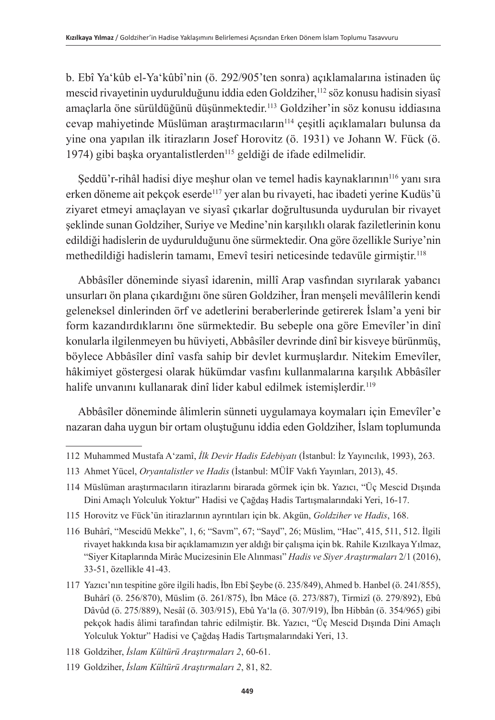b. Ebî Ya'kûb el-Ya'kûbî'nin (ö. 292/905'ten sonra) açıklamalarına istinaden üç mescid rivayetinin uydurulduğunu iddia eden Goldziher,<sup>112</sup> söz konusu hadisin siyasî amaçlarla öne sürüldüğünü düşünmektedir.<sup>113</sup> Goldziher'in söz konusu iddiasına cevap mahiyetinde Müslüman araştırmacıların<sup>114</sup> çeşitli açıklamaları bulunsa da yine ona yapılan ilk itirazların Josef Horovitz (ö. 1931) ve Johann W. Fück (ö. 1974) gibi başka oryantalistlerden<sup>115</sup> geldiği de ifade edilmelidir.

Şeddü'r-rihâl hadisi diye meşhur olan ve temel hadis kaynaklarının<sup>116</sup> yanı sıra erken döneme ait pekçok eserde<sup>117</sup> yer alan bu rivayeti, hac ibadeti yerine Kudüs'ü ziyaret etmeyi amaçlayan ve siyasî çıkarlar doğrultusunda uydurulan bir rivayet şeklinde sunan Goldziher, Suriye ve Medine'nin karşılıklı olarak faziletlerinin konu edildiği hadislerin de uydurulduğunu öne sürmektedir. Ona göre özellikle Suriye'nin methedildiği hadislerin tamamı, Emevî tesiri neticesinde tedavüle girmiştir. 118

Abbâsîler döneminde siyasî idarenin, millî Arap vasfından sıyrılarak yabancı unsurları ön plana çıkardığını öne süren Goldziher, İran menşeli mevâlîlerin kendi geleneksel dinlerinden örf ve adetlerini beraberlerinde getirerek İslam'a yeni bir form kazandırdıklarını öne sürmektedir. Bu sebeple ona göre Emevîler'in dinî konularla ilgilenmeyen bu hüviyeti, Abbâsîler devrinde dinî bir kisveye bürünmüş, böylece Abbâsîler dinî vasfa sahip bir devlet kurmuşlardır. Nitekim Emevîler, hâkimiyet göstergesi olarak hükümdar vasfını kullanmalarına karşılık Abbâsîler halife unvanını kullanarak dinî lider kabul edilmek istemişlerdir. 119

Abbâsîler döneminde âlimlerin sünneti uygulamaya koymaları için Emevîler'e nazaran daha uygun bir ortam oluştuğunu iddia eden Goldziher, İslam toplumunda

<sup>112</sup> Muhammed Mustafa A'zamî, *İlk Devir Hadis Edebiyatı* (İstanbul: İz Yayıncılık, 1993), 263.

<sup>113</sup> Ahmet Yücel, *Oryantalistler ve Hadis* (İstanbul: MÜİF Vakfı Yayınları, 2013), 45.

<sup>114</sup> Müslüman araştırmacıların itirazlarını birarada görmek için bk. Yazıcı, "Üç Mescid Dışında Dini Amaçlı Yolculuk Yoktur" Hadisi ve Çağdaş Hadis Tartışmalarındaki Yeri, 16-17.

<sup>115</sup> Horovitz ve Fück'ün itirazlarının ayrıntıları için bk. Akgün, *Goldziher ve Hadis*, 168.

<sup>116</sup> Buhârî, "Mescidü Mekke", 1, 6; "Savm", 67; "Sayd", 26; Müslim, "Hac", 415, 511, 512. İlgili rivayet hakkında kısa bir açıklamamızın yer aldığı bir çalışma için bk. Rahile Kızılkaya Yılmaz, "Siyer Kitaplarında Mirâc Mucizesinin Ele Alınması" *Hadis ve Siyer Araştırmaları* 2/1 (2016), 33-51, özellikle 41-43.

<sup>117</sup> Yazıcı'nın tespitine göre ilgili hadis, İbn Ebî Şeybe (ö. 235/849), Ahmed b. Hanbel (ö. 241/855), Buhârî (ö. 256/870), Müslim (ö. 261/875), İbn Mâce (ö. 273/887), Tirmizî (ö. 279/892), Ebû Dâvûd (ö. 275/889), Nesâî (ö. 303/915), Ebû Ya'la (ö. 307/919), İbn Hibbân (ö. 354/965) gibi pekçok hadis âlimi tarafından tahric edilmiştir. Bk. Yazıcı, "Üç Mescid Dışında Dini Amaçlı Yolculuk Yoktur" Hadisi ve Çağdaş Hadis Tartışmalarındaki Yeri, 13.

<sup>118</sup> Goldziher, *İslam Kültürü Araştırmaları 2*, 60-61.

<sup>119</sup> Goldziher, *İslam Kültürü Araştırmaları 2*, 81, 82.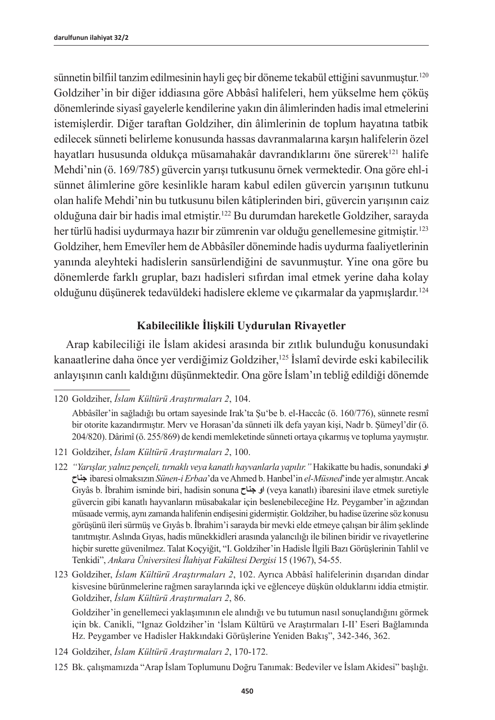sünnetin bilfiil tanzim edilmesinin hayli geç bir döneme tekabül ettiğini savunmuştur.<sup>120</sup> Goldziher'in bir diğer iddiasına göre Abbâsî halifeleri, hem yükselme hem çöküş dönemlerinde siyasî gayelerle kendilerine yakın din âlimlerinden hadis imal etmelerini istemişlerdir. Diğer taraftan Goldziher, din âlimlerinin de toplum hayatına tatbik edilecek sünneti belirleme konusunda hassas davranmalarına karşın halifelerin özel hayatları hususunda oldukça müsamahakâr davrandıklarını öne sürerek<sup>121</sup> halife Mehdi'nin (ö. 169/785) güvercin yarışı tutkusunu örnek vermektedir. Ona göre ehl-i sünnet âlimlerine göre kesinlikle haram kabul edilen güvercin yarışının tutkunu olan halife Mehdi'nin bu tutkusunu bilen kâtiplerinden biri, güvercin yarışının caiz olduğuna dair bir hadis imal etmiştir.122 Bu durumdan hareketle Goldziher, sarayda her türlü hadisi uydurmaya hazır bir zümrenin var olduğu genellemesine gitmiştir.<sup>123</sup> Goldziher, hem Emevîler hem de Abbâsîler döneminde hadis uydurma faaliyetlerinin yanında aleyhteki hadislerin sansürlendiğini de savunmuştur. Yine ona göre bu dönemlerde farklı gruplar, bazı hadisleri sıfırdan imal etmek yerine daha kolay olduğunu düşünerek tedavüldeki hadislere ekleme ve çıkarmalar da yapmışlardır.124

### **Kabilecilikle İlişkili Uydurulan Rivayetler**

Arap kabileciliği ile İslam akidesi arasında bir zıtlık bulunduğu konusundaki kanaatlerine daha önce yer verdiğimiz Goldziher,<sup>125</sup> İslamî devirde eski kabilecilik anlayışının canlı kaldığını düşünmektedir. Ona göre İslam'ın tebliğ edildiği dönemde

123 Goldziher, *İslam Kültürü Araştırmaları 2*, 102. Ayrıca Abbâsî halifelerinin dışarıdan dindar kisvesine bürünmelerine rağmen saraylarında içki ve eğlenceye düşkün olduklarını iddia etmiştir. Goldziher, *İslam Kültürü Araştırmaları 2*, 86.

Goldziher'in genellemeci yaklaşımının ele alındığı ve bu tutumun nasıl sonuçlandığını görmek için bk. Canikli, "Ignaz Goldziher'in 'İslam Kültürü ve Araştırmaları I-II' Eseri Bağlamında Hz. Peygamber ve Hadisler Hakkındaki Görüşlerine Yeniden Bakış", 342-346, 362.

- 124 Goldziher, *İslam Kültürü Araştırmaları 2*, 170-172.
- 125 Bk. çalışmamızda "Arap İslam Toplumunu Doğru Tanımak: Bedeviler ve İslam Akidesi" başlığı.

<sup>120</sup> Goldziher, *İslam Kültürü Araştırmaları 2*, 104.

Abbâsîler'in sağladığı bu ortam sayesinde Irak'ta Şu'be b. el-Haccâc (ö. 160/776), sünnete resmî bir otorite kazandırmıştır. Merv ve Horasan'da sünneti ilk defa yayan kişi, Nadr b. Şümeyl'dir (ö. 204/820). Dârimî (ö. 255/869) de kendi memleketinde sünneti ortaya çıkarmış ve topluma yaymıştır.

<sup>121</sup> Goldziher, *İslam Kültürü Araştırmaları 2*, 100.

<sup>122</sup> *"Yarışlar, yalnız pençeli, tırnaklı veya kanatlı hayvanlarla yapılır."* Hakikatte bu hadis, sonundaki **او جناح** ibaresi olmaksızın *Sünen-i Erbaa*'da ve Ahmed b. Hanbel'in *el-Müsned*'inde yer almıştır. Ancak Gıyâs b. İbrahim isminde biri, hadisin sonuna **جناح او**) veya kanatlı) ibaresini ilave etmek suretiyle güvercin gibi kanatlı hayvanların müsabakalar için beslenebileceğine Hz. Peygamber'in ağzından müsaade vermiş, aynı zamanda halifenin endişesini gidermiştir. Goldziher, bu hadise üzerine söz konusu görüşünü ileri sürmüş ve Gıyâs b. İbrahim'i sarayda bir mevki elde etmeye çalışan bir âlim şeklinde tanıtmıştır. Aslında Gıyas, hadis münekkidleri arasında yalancılığı ile bilinen biridir ve rivayetlerine hiçbir surette güvenilmez. Talat Koçyiğit, "I. Goldziher'in Hadisle İlgili Bazı Görüşlerinin Tahlil ve Tenkidi", *Ankara Üniversitesi İlahiyat Fakültesi Dergisi* 15 (1967), 54-55.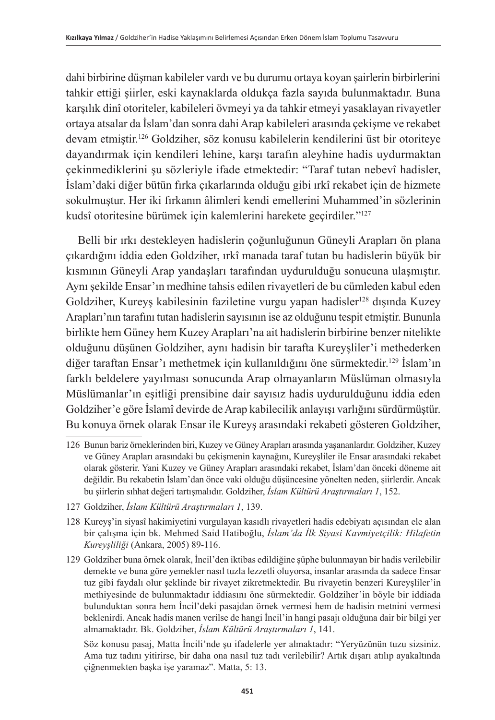dahi birbirine düşman kabileler vardı ve bu durumu ortaya koyan şairlerin birbirlerini tahkir ettiği şiirler, eski kaynaklarda oldukça fazla sayıda bulunmaktadır. Buna karşılık dinî otoriteler, kabileleri övmeyi ya da tahkir etmeyi yasaklayan rivayetler ortaya atsalar da İslam'dan sonra dahi Arap kabileleri arasında çekişme ve rekabet devam etmiştir.126 Goldziher, söz konusu kabilelerin kendilerini üst bir otoriteye dayandırmak için kendileri lehine, karşı tarafın aleyhine hadis uydurmaktan çekinmediklerini şu sözleriyle ifade etmektedir: "Taraf tutan nebevî hadisler, İslam'daki diğer bütün fırka çıkarlarında olduğu gibi ırkî rekabet için de hizmete sokulmuştur. Her iki fırkanın âlimleri kendi emellerini Muhammed'in sözlerinin kudsî otoritesine bürümek için kalemlerini harekete geçirdiler."127

Belli bir ırkı destekleyen hadislerin çoğunluğunun Güneyli Arapları ön plana çıkardığını iddia eden Goldziher, ırkî manada taraf tutan bu hadislerin büyük bir kısmının Güneyli Arap yandaşları tarafından uydurulduğu sonucuna ulaşmıştır. Aynı şekilde Ensar'ın medhine tahsis edilen rivayetleri de bu cümleden kabul eden Goldziher, Kureyş kabilesinin faziletine vurgu yapan hadisler<sup>128</sup> dışında Kuzey Arapları'nın tarafını tutan hadislerin sayısının ise az olduğunu tespit etmiştir. Bununla birlikte hem Güney hem Kuzey Arapları'na ait hadislerin birbirine benzer nitelikte olduğunu düşünen Goldziher, aynı hadisin bir tarafta Kureyşliler'i methederken diğer taraftan Ensar'ı methetmek için kullanıldığını öne sürmektedir.<sup>129</sup> İslam'ın farklı beldelere yayılması sonucunda Arap olmayanların Müslüman olmasıyla Müslümanlar'ın eşitliği prensibine dair sayısız hadis uydurulduğunu iddia eden Goldziher'e göre İslamî devirde de Arap kabilecilik anlayışı varlığını sürdürmüştür. Bu konuya örnek olarak Ensar ile Kureyş arasındaki rekabeti gösteren Goldziher,

127 Goldziher, *İslam Kültürü Araştırmaları 1*, 139.

129 Goldziher buna örnek olarak, İncil'den iktibas edildiğine şüphe bulunmayan bir hadis verilebilir demekte ve buna göre yemekler nasıl tuzla lezzetli oluyorsa, insanlar arasında da sadece Ensar tuz gibi faydalı olur şeklinde bir rivayet zikretmektedir. Bu rivayetin benzeri Kureyşliler'in methiyesinde de bulunmaktadır iddiasını öne sürmektedir. Goldziher'in böyle bir iddiada bulunduktan sonra hem İncil'deki pasajdan örnek vermesi hem de hadisin metnini vermesi beklenirdi. Ancak hadis manen verilse de hangi İncil'in hangi pasajı olduğuna dair bir bilgi yer almamaktadır. Bk. Goldziher, *İslam Kültürü Araştırmaları 1*, 141.

Söz konusu pasaj, Matta İncili'nde şu ifadelerle yer almaktadır: "Yeryüzünün tuzu sizsiniz. Ama tuz tadını yitirirse, bir daha ona nasıl tuz tadı verilebilir? Artık dışarı atılıp ayakaltında çiğnenmekten başka işe yaramaz". Matta, 5: 13.

<sup>126</sup> Bunun bariz örneklerinden biri, Kuzey ve Güney Arapları arasında yaşananlardır. Goldziher, Kuzey ve Güney Arapları arasındaki bu çekişmenin kaynağını, Kureyşliler ile Ensar arasındaki rekabet olarak gösterir. Yani Kuzey ve Güney Arapları arasındaki rekabet, İslam'dan önceki döneme ait değildir. Bu rekabetin İslam'dan önce vaki olduğu düşüncesine yönelten neden, şiirlerdir. Ancak bu şiirlerin sıhhat değeri tartışmalıdır. Goldziher, *İslam Kültürü Araştırmaları 1*, 152.

<sup>128</sup> Kureyş'in siyasî hakimiyetini vurgulayan kasıdlı rivayetleri hadis edebiyatı açısından ele alan bir çalışma için bk. Mehmed Said Hatiboğlu, *İslam'da İlk Siyasi Kavmiyetçilik: Hilafetin Kureyşliliği* (Ankara, 2005) 89-116.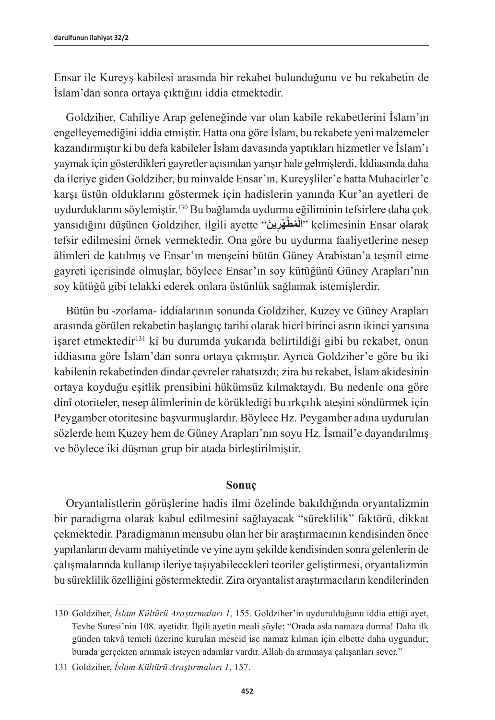Ensar ile Kureyş kabilesi arasında bir rekabet bulunduğunu ve bu rekabetin de İslam'dan sonra ortaya çıktığını iddia etmektedir.

Goldziher, Cahiliye Arap geleneğinde var olan kabile rekabetlerini İslam'ın engelleyemediğini iddia etmiştir. Hatta ona göre İslam, bu rekabete yeni malzemeler kazandırmıştır ki bu defa kabileler İslam davasında yaptıkları hizmetler ve İslam'ı yaymak için gösterdikleri gayretler açısından yarışır hale gelmişlerdi. İddiasında daha da ileriye giden Goldziher, bu minvalde Ensar'ın, Kureyşliler'e hatta Muhacirler'e karşı üstün olduklarını göstermek için hadislerin yanında Kur'an ayetleri de uydurduklarını söylemiştir.<sup>130</sup> Bu bağlamda uydurma eğiliminin tefsirlere daha çok yansıdığını düşünen Goldziher, ilgili ayette "**ينَ ر۪ هِّ َّ ُمط ال** "kelimesinin Ensar olarak **ْ**tefsir edilmesini örnek vermektedir. Ona göre bu uydurma faaliyetlerine nesep âlimleri de katılmış ve Ensar'ın menşeini bütün Güney Arabistan'a teşmil etme gayreti içerisinde olmuşlar, böylece Ensar'ın soy kütüğünü Güney Arapları'nın soy kütüğü gibi telakki ederek onlara üstünlük sağlamak istemişlerdir.

Bütün bu -zorlama- iddialarının sonunda Goldziher, Kuzey ve Güney Arapları arasında görülen rekabetin başlangıç tarihi olarak hicrî birinci asrın ikinci yarısına işaret etmektedir<sup>131</sup> ki bu durumda yukarıda belirtildiği gibi bu rekabet, onun iddiasına göre İslam'dan sonra ortaya çıkmıştır. Ayrıca Goldziher'e göre bu iki kabilenin rekabetinden dindar çevreler rahatsızdı; zira bu rekabet, İslam akidesinin ortaya koyduğu eşitlik prensibini hükümsüz kılmaktaydı. Bu nedenle ona göre dinî otoriteler, nesep âlimlerinin de körüklediği bu ırkçılık ateşini söndürmek için Peygamber otoritesine başvurmuşlardır. Böylece Hz. Peygamber adına uydurulan sözlerde hem Kuzey hem de Güney Arapları'nın soyu Hz. İsmail'e dayandırılmış ve böylece iki düşman grup bir atada birleştirilmiştir.

#### **Sonuç**

Oryantalistlerin görüşlerine hadis ilmi özelinde bakıldığında oryantalizmin bir paradigma olarak kabul edilmesini sağlayacak "süreklilik" faktörü, dikkat çekmektedir. Paradigmanın mensubu olan her bir araştırmacının kendisinden önce yapılanların devamı mahiyetinde ve yine aynı şekilde kendisinden sonra gelenlerin de çalışmalarında kullanıp ileriye taşıyabilecekleri teoriler geliştirmesi, oryantalizmin bu süreklilik özelliğini göstermektedir. Zira oryantalist araştırmacıların kendilerinden

<sup>130</sup> Goldziher, *İslam Kültürü Araştırmaları 1*, 155. Goldziher'in uydurulduğunu iddia ettiği ayet, Tevbe Suresi'nin 108. ayetidir. İlgili ayetin meali şöyle: "Orada asla namaza durma! Daha ilk günden takvâ temeli üzerine kurulan mescid ise namaz kılman için elbette daha uygundur; burada gerçekten arınmak isteyen adamlar vardır. Allah da arınmaya çalışanları sever."

<sup>131</sup> Goldziher, *İslam Kültürü Araştırmaları 1*, 157.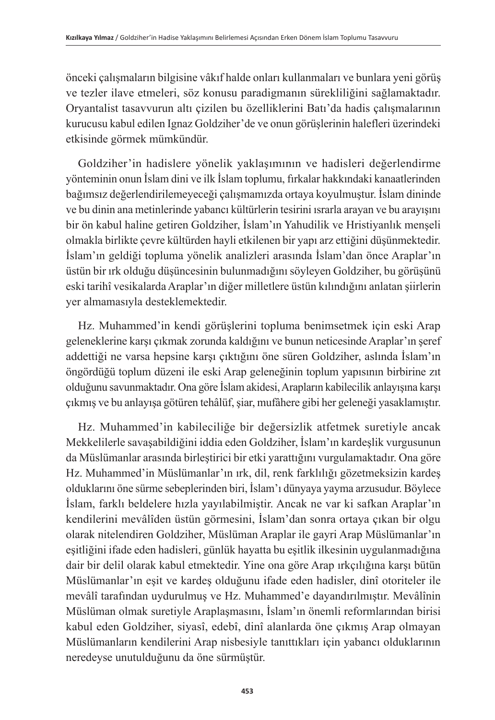önceki çalışmaların bilgisine vâkıf halde onları kullanmaları ve bunlara yeni görüş ve tezler ilave etmeleri, söz konusu paradigmanın sürekliliğini sağlamaktadır. Oryantalist tasavvurun altı çizilen bu özelliklerini Batı'da hadis çalışmalarının kurucusu kabul edilen Ignaz Goldziher'de ve onun görüşlerinin halefleri üzerindeki etkisinde görmek mümkündür.

Goldziher'in hadislere yönelik yaklaşımının ve hadisleri değerlendirme yönteminin onun İslam dini ve ilk İslam toplumu, fırkalar hakkındaki kanaatlerinden bağımsız değerlendirilemeyeceği çalışmamızda ortaya koyulmuştur. İslam dininde ve bu dinin ana metinlerinde yabancı kültürlerin tesirini ısrarla arayan ve bu arayışını bir ön kabul haline getiren Goldziher, İslam'ın Yahudilik ve Hristiyanlık menşeli olmakla birlikte çevre kültürden hayli etkilenen bir yapı arz ettiğini düşünmektedir. İslam'ın geldiği topluma yönelik analizleri arasında İslam'dan önce Araplar'ın üstün bir ırk olduğu düşüncesinin bulunmadığını söyleyen Goldziher, bu görüşünü eski tarihî vesikalarda Araplar'ın diğer milletlere üstün kılındığını anlatan şiirlerin yer almamasıyla desteklemektedir.

Hz. Muhammed'in kendi görüşlerini topluma benimsetmek için eski Arap geleneklerine karşı çıkmak zorunda kaldığını ve bunun neticesinde Araplar'ın şeref addettiği ne varsa hepsine karşı çıktığını öne süren Goldziher, aslında İslam'ın öngördüğü toplum düzeni ile eski Arap geleneğinin toplum yapısının birbirine zıt olduğunu savunmaktadır. Ona göre İslam akidesi, Arapların kabilecilik anlayışına karşı çıkmış ve bu anlayışa götüren tehâlüf, şiar, mufâhere gibi her geleneği yasaklamıştır.

Hz. Muhammed'in kabileciliğe bir değersizlik atfetmek suretiyle ancak Mekkelilerle savaşabildiğini iddia eden Goldziher, İslam'ın kardeşlik vurgusunun da Müslümanlar arasında birleştirici bir etki yarattığını vurgulamaktadır. Ona göre Hz. Muhammed'in Müslümanlar'ın ırk, dil, renk farklılığı gözetmeksizin kardeş olduklarını öne sürme sebeplerinden biri, İslam'ı dünyaya yayma arzusudur. Böylece İslam, farklı beldelere hızla yayılabilmiştir. Ancak ne var ki safkan Araplar'ın kendilerini mevâlîden üstün görmesini, İslam'dan sonra ortaya çıkan bir olgu olarak nitelendiren Goldziher, Müslüman Araplar ile gayri Arap Müslümanlar'ın eşitliğini ifade eden hadisleri, günlük hayatta bu eşitlik ilkesinin uygulanmadığına dair bir delil olarak kabul etmektedir. Yine ona göre Arap ırkçılığına karşı bütün Müslümanlar'ın eşit ve kardeş olduğunu ifade eden hadisler, dinî otoriteler ile mevâlî tarafından uydurulmuş ve Hz. Muhammed'e dayandırılmıştır. Mevâlînin Müslüman olmak suretiyle Araplaşmasını, İslam'ın önemli reformlarından birisi kabul eden Goldziher, siyasî, edebî, dinî alanlarda öne çıkmış Arap olmayan Müslümanların kendilerini Arap nisbesiyle tanıttıkları için yabancı olduklarının neredeyse unutulduğunu da öne sürmüştür.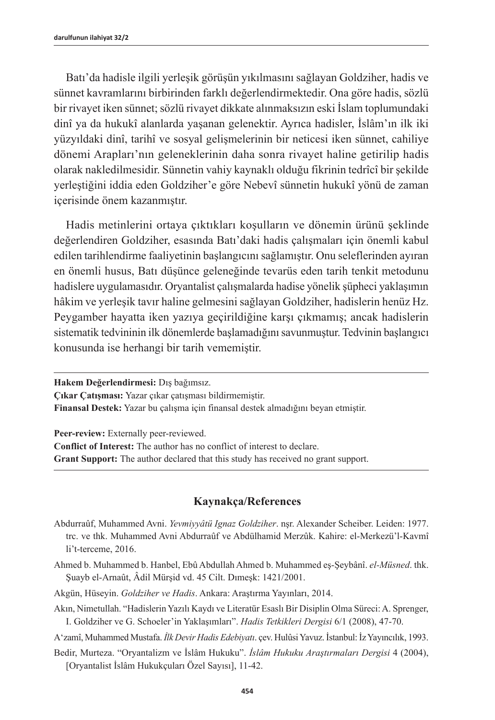Batı'da hadisle ilgili yerleşik görüşün yıkılmasını sağlayan Goldziher, hadis ve sünnet kavramlarını birbirinden farklı değerlendirmektedir. Ona göre hadis, sözlü bir rivayet iken sünnet; sözlü rivayet dikkate alınmaksızın eski İslam toplumundaki dinî ya da hukukî alanlarda yaşanan gelenektir. Ayrıca hadisler, İslâm'ın ilk iki yüzyıldaki dinî, tarihî ve sosyal gelişmelerinin bir neticesi iken sünnet, cahiliye dönemi Arapları'nın geleneklerinin daha sonra rivayet haline getirilip hadis olarak nakledilmesidir. Sünnetin vahiy kaynaklı olduğu fikrinin tedrîcî bir şekilde yerleştiğini iddia eden Goldziher'e göre Nebevî sünnetin hukukî yönü de zaman içerisinde önem kazanmıştır.

Hadis metinlerini ortaya çıktıkları koşulların ve dönemin ürünü şeklinde değerlendiren Goldziher, esasında Batı'daki hadis çalışmaları için önemli kabul edilen tarihlendirme faaliyetinin başlangıcını sağlamıştır. Onu seleflerinden ayıran en önemli husus, Batı düşünce geleneğinde tevarüs eden tarih tenkit metodunu hadislere uygulamasıdır. Oryantalist çalışmalarda hadise yönelik şüpheci yaklaşımın hâkim ve yerleşik tavır haline gelmesini sağlayan Goldziher, hadislerin henüz Hz. Peygamber hayatta iken yazıya geçirildiğine karşı çıkmamış; ancak hadislerin sistematik tedvininin ilk dönemlerde başlamadığını savunmuştur. Tedvinin başlangıcı konusunda ise herhangi bir tarih vememiştir.

**Hakem Değerlendirmesi:** Dış bağımsız.

**Çıkar Çatışması:** Yazar çıkar çatışması bildirmemiştir.

**Finansal Destek:** Yazar bu çalışma için finansal destek almadığını beyan etmiştir.

**Peer-review:** Externally peer-reviewed.

**Conflict of Interest:** The author has no conflict of interest to declare.

**Grant Support:** The author declared that this study has received no grant support.

#### **Kaynakça/References**

- Abdurraûf, Muhammed Avni. *Yevmiyyâtü Ignaz Goldziher*. nşr. Alexander Scheiber. Leiden: 1977. trc. ve thk. Muhammed Avni Abdurraûf ve Abdülhamid Merzûk. Kahire: el-Merkezü'l-Kavmî li't-terceme, 2016.
- Ahmed b. Muhammed b. Hanbel, Ebû Abdullah Ahmed b. Muhammed eş-Şeybânî. *el-Müsned*. thk. Şuayb el-Arnaût, Âdil Mürşid vd. 45 Cilt. Dımeşk: 1421/2001.
- Akgün, Hüseyin. *Goldziher ve Hadis*. Ankara: Araştırma Yayınları, 2014.
- Akın, Nimetullah. "Hadislerin Yazılı Kaydı ve Literatür Esaslı Bir Disiplin Olma Süreci: A. Sprenger, I. Goldziher ve G. Schoeler'in Yaklaşımları". *Hadis Tetkikleri Dergisi* 6/1 (2008), 47-70.
- A'zamî, Muhammed Mustafa. *İlk Devir Hadis Edebiyatı*. çev. Hulûsi Yavuz. İstanbul: İz Yayıncılık, 1993.
- Bedir, Murteza. "Oryantalizm ve İslâm Hukuku". *İslâm Hukuku Araştırmaları Dergisi* 4 (2004), [Oryantalist İslâm Hukukçuları Özel Sayısı], 11-42.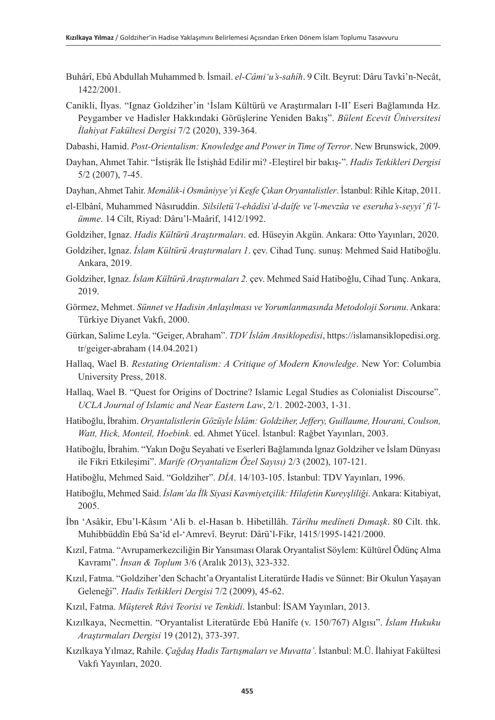- Buhârî, Ebû Abdullah Muhammed b. İsmail. *el-Câmi'u's-sahîh*. 9 Cilt. Beyrut: Dâru Tavki'n-Necât, 1422/2001.
- Canikli, İlyas. "Ignaz Goldziher'in 'İslam Kültürü ve Araştırmaları I-II' Eseri Bağlamında Hz. Peygamber ve Hadisler Hakkındaki Görüşlerine Yeniden Bakış". *Bülent Ecevit Üniversitesi İlahiyat Fakültesi Dergisi* 7/2 (2020), 339-364.
- Dabashi, Hamid. *Post-Orientalism: Knowledge and Power in Time of Terror*. New Brunswick, 2009.
- Dayhan, Ahmet Tahir. "İstişrâk İle İstişhâd Edilir mi? -Eleştirel bir bakış-". *Hadis Tetkikleri Dergisi* 5/2 (2007), 7-45.
- Dayhan, Ahmet Tahir. *Memâlik-i Osmâniyye'yi Keşfe Çıkan Oryantalistler*. İstanbul: Rihle Kitap, 2011.
- el-Elbânî, Muhammed Nâsıruddin. *Silsiletü'l-ehâdîsi'd-daîfe ve'l-mevzûa ve eseruha's-seyyi' fi'lümme*. 14 Cilt, Riyad: Dâru'l-Maârif, 1412/1992.
- Goldziher, Ignaz. *Hadis Kültürü Araştırmaları*. ed. Hüseyin Akgün. Ankara: Otto Yayınları, 2020.
- Goldziher, Ignaz. *İslam Kültürü Araştırmaları 1*. çev. Cihad Tunç. sunuş: Mehmed Said Hatiboğlu. Ankara, 2019.
- Goldziher, Ignaz. *İslam Kültürü Araştırmaları 2.* çev. Mehmed Said Hatiboğlu, Cihad Tunç. Ankara, 2019.
- Görmez, Mehmet. *Sünnet ve Hadisin Anlaşılması ve Yorumlanmasında Metodoloji Sorunu*. Ankara: Türkiye Diyanet Vakfı, 2000.
- Gürkan, Salime Leyla. "Geiger, Abraham". *TDV İslâm Ansiklopedisi*, https://islamansiklopedisi.org. tr/geiger-abraham (14.04.2021)
- Hallaq, Wael B. *Restating Orientalism: A Critique of Modern Knowledge*. New Yor: Columbia University Press, 2018.
- Hallaq, Wael B. "Quest for Origins of Doctrine? Islamic Legal Studies as Colonialist Discourse". *UCLA Journal of Islamic and Near Eastern Law*, 2/1. 2002-2003, 1-31.
- Hatiboğlu, İbrahim. *Oryantalistlerin Gözüyle İslâm: Goldziher, Jeffery, Guillaume, Hourani, Coulson, Watt, Hick, Monteil, Hoebink*. ed. Ahmet Yücel. İstanbul: Rağbet Yayınları, 2003.
- Hatiboğlu, İbrahim. "Yakın Doğu Seyahati ve Eserleri Bağlamında lgnaz Goldziher ve İslam Dünyası ile Fikri Etkileşimi". *Marife (Oryantalizm Özel Sayısı)* 2/3 (2002), 107-121.
- Hatiboğlu, Mehmed Said. "Goldziher". *DİA*. 14/103-105. İstanbul: TDV Yayınları, 1996.
- Hatiboğlu, Mehmed Said. *İslam'da İlk Siyasi Kavmiyetçilik: Hilafetin Kureyşliliği*. Ankara: Kitabiyat, 2005.
- İbn 'Asâkir, Ebu'l-Kâsım 'Ali b. el-Hasan b. Hibetillâh. *Târîhu medîneti Dımaşk*. 80 Cilt. thk. Muhibbüddîn Ebû Sa'îd el-'Amrevî. Beyrut: Dârü'l-Fikr, 1415/1995-1421/2000.
- Kızıl, Fatma. "Avrupamerkezciliğin Bir Yansıması Olarak Oryantalist Söylem: Kültürel Ödünç Alma Kavramı". *İnsan & Toplum* 3/6 (Aralık 2013), 323-332.
- Kızıl, Fatma. "Goldziher'den Schacht'a Oryantalist Literatürde Hadis ve Sünnet: Bir Okulun Yaşayan Geleneği". *Hadis Tetkikleri Dergisi* 7/2 (2009), 45-62.
- Kızıl, Fatma. *Müşterek Râvi Teorisi ve Tenkidi*. İstanbul: İSAM Yayınları, 2013.
- Kızılkaya, Necmettin. "Oryantalist Literatürde Ebû Hanîfe (v. 150/767) Algısı". *İslam Hukuku Araştırmaları Dergisi* 19 (2012), 373-397.
- Kızılkaya Yılmaz, Rahile. *Çağdaş Hadis Tartışmaları ve Muvatta'*. İstanbul: M.Ü. İlahiyat Fakültesi Vakfı Yayınları, 2020.